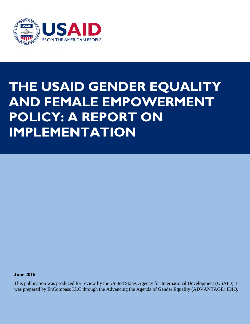

## **THE USAID GENDER EQUALITY AND FEMALE EMPOWERMENT POLICY: A REPORT ON IMPLEMENTATION**

**June 2016** 

This publication was produced for review by the United States Agency for International Development (USAID). It was prepared by EnCompass LLC through the Advancing the Agenda of Gender Equality (ADVANTAGE) IDIQ.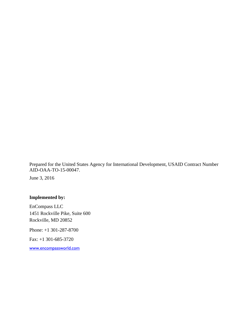Prepared for the United States Agency for International Development, USAID Contract Number AID-OAA-TO-15-00047.

June 3, 2016

### **Implemented by:**

EnCompass LLC 1451 Rockville Pike, Suite 600 Rockville, MD 20852 Phone: +1 301-287-8700

Fax: +1 301-685-3720

[www.encompassworld.com](http://www.encompassworld.com/)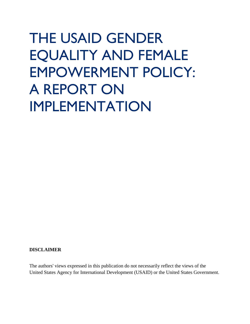# THE USAID GENDER EQUALITY AND FEMALE EMPOWERMENT POLICY: A REPORT ON IMPLEMENTATION

#### **DISCLAIMER**

The authors' views expressed in this publication do not necessarily reflect the views of the United States Agency for International Development (USAID) or the United States Government.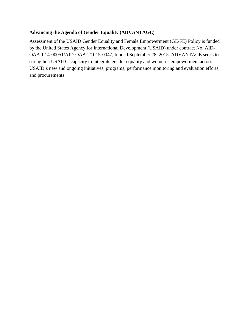### **Advancing the Agenda of Gender Equality (ADVANTAGE)**

Assessment of the USAID Gender Equality and Female Empowerment (GE/FE) Policy is funded by the United States Agency for International Development (USAID) under contract No. AID-OAA-I-14-00051/AID-OAA-TO-15-0047, funded September 28, 2015. ADVANTAGE seeks to strengthen USAID's capacity to integrate gender equality and women's empowerment across USAID's new and ongoing initiatives, programs, performance monitoring and evaluation efforts, and procurements.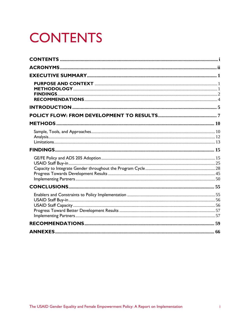## <span id="page-4-0"></span>**CONTENTS**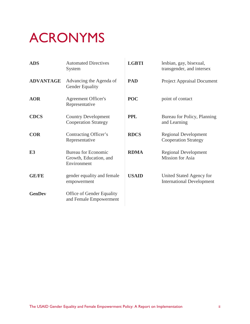## <span id="page-5-0"></span>ACRONYMS

| <b>ADS</b>       | <b>Automated Directives</b><br>System                               | <b>LGBTI</b> | lesbian, gay, bisexual,<br>transgender, and intersex         |
|------------------|---------------------------------------------------------------------|--------------|--------------------------------------------------------------|
| <b>ADVANTAGE</b> | Advancing the Agenda of<br><b>Gender Equality</b>                   | <b>PAD</b>   | <b>Project Appraisal Document</b>                            |
| <b>AOR</b>       | <b>Agreement Officer's</b><br>Representative                        | <b>POC</b>   | point of contact                                             |
| <b>CDCS</b>      | <b>Country Development</b><br><b>Cooperation Strategy</b>           | <b>PPL</b>   | Bureau for Policy, Planning<br>and Learning                  |
| <b>COR</b>       | Contracting Officer's<br>Representative                             | <b>RDCS</b>  | <b>Regional Development</b><br><b>Cooperation Strategy</b>   |
| E <sub>3</sub>   | <b>Bureau for Economic</b><br>Growth, Education, and<br>Environment | <b>RDMA</b>  | <b>Regional Development</b><br>Mission for Asia              |
| <b>GE/FE</b>     | gender equality and female<br>empowerment                           | <b>USAID</b> | United Stated Agency for<br><b>International Development</b> |
| <b>GenDev</b>    | Office of Gender Equality<br>and Female Empowerment                 |              |                                                              |
|                  |                                                                     |              |                                                              |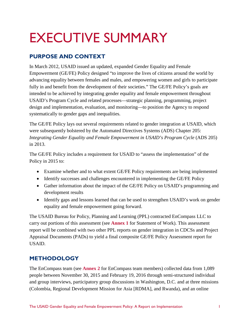## <span id="page-6-0"></span>EXECUTIVE SUMMARY

## <span id="page-6-1"></span>**PURPOSE AND CONTEXT**

In March 2012, USAID issued an updated, expanded Gender Equality and Female Empowerment (GE/FE) Policy designed "to improve the lives of citizens around the world by advancing equality between females and males, and empowering women and girls to participate fully in and benefit from the development of their societies." The GE/FE Policy's goals are intended to be achieved by integrating gender equality and female empowerment throughout USAID's Program Cycle and related processes—strategic planning, programming, project design and implementation, evaluation, and monitoring—to position the Agency to respond systematically to gender gaps and inequalities.

The GE/FE Policy lays out several requirements related to gender integration at USAID, which were subsequently bolstered by the Automated Directives Systems (ADS) Chapter 205: *Integrating Gender Equality and Female Empowerment in USAID's Program Cycle* (ADS 205) in 2013.

The GE/FE Policy includes a requirement for USAID to "assess the implementation" of the Policy in 2015 to:

- Examine whether and to what extent GE/FE Policy requirements are being implemented
- Identify successes and challenges encountered in implementing the GE/FE Policy
- Gather information about the impact of the GE/FE Policy on USAID's programming and development results
- Identify gaps and lessons learned that can be used to strengthen USAID's work on gender equality and female empowerment going forward.

The USAID Bureau for Policy, Planning and Learning (PPL) contracted EnCompass LLC to carry out portions of this assessment (see **Annex 1** for Statement of Work). This assessment report will be combined with two other PPL reports on gender integration in CDCSs and Project Appraisal Documents (PADs) to yield a final composite GE/FE Policy Assessment report for USAID.

## <span id="page-6-2"></span>**METHODOLOGY**

The EnCompass team (see **Annex 2** for EnCompass team members) collected data from 1,089 people between November 30, 2015 and February 19, 2016 through semi-structured individual and group interviews, participatory group discussions in Washington, D.C. and at three missions (Colombia, Regional Development Mission for Asia [RDMA], and Rwanda), and an online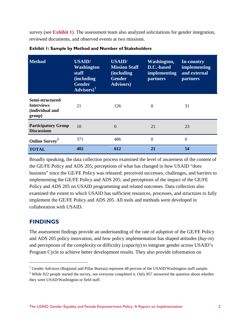survey (see **Exhibit 1**). The assessment team also analyzed solicitations for gender integration, reviewed documents, and observed events at two missions.

| <b>Method</b>                                                     | <b>USAID/</b><br><b>Washington</b><br>staff<br>(including<br><b>Gender</b><br>$\overline{\overline{\text{Advisors}})^1}$ | <b>USAID/</b><br><b>Mission Staff</b><br><i>(including)</i><br><b>Gender</b><br><b>Advisors</b> ) | Washington,<br>D.C.-based<br>implementing<br><b>partners</b> | In-country<br>implementing<br>and external<br><b>partners</b> |
|-------------------------------------------------------------------|--------------------------------------------------------------------------------------------------------------------------|---------------------------------------------------------------------------------------------------|--------------------------------------------------------------|---------------------------------------------------------------|
| Semi-structured<br><b>Interviews</b><br>(individual and<br>group) | 21                                                                                                                       | 126                                                                                               | $\Omega$                                                     | 31                                                            |
| <b>Participatory Group</b><br><b>Discussions</b>                  | 10                                                                                                                       | $\Omega$                                                                                          | 21                                                           | 23                                                            |
| Online Survey <sup>2</sup>                                        | 371                                                                                                                      | 486                                                                                               | $\Omega$                                                     | $\theta$                                                      |
| <b>TOTAL</b>                                                      | 402                                                                                                                      | 612                                                                                               | 21                                                           | 54                                                            |

**Exhibit 1: Sample by Method and Number of Stakeholders** 

Broadly speaking, the data collection process examined the level of awareness of the content of the GE/FE Policy and ADS 205; perceptions of what has changed in how USAID "does business" since the GE/FE Policy was released; perceived successes, challenges, and barriers to implementing the GE/FE Policy and ADS 205; and perceptions of the impact of the GE/FE Policy and ADS 205 on USAID programming and related outcomes. Data collection also examined the extent to which USAID has sufficient resources, processes, and structures to fully implement the GE/FE Policy and ADS 205. All tools and methods were developed in collaboration with USAID.

### <span id="page-7-0"></span>**FINDINGS**

 $\overline{a}$ 

The assessment findings provide an understanding of the rate of *adoption* of the GE/FE Policy and ADS 205 policy innovation, and how policy implementation has shaped attitudes (*buy-in*) and perceptions of the complexity or difficulty (*capacity*) to integrate gender across USAID's Program Cycle to achieve better development results. They also provide information on

<span id="page-7-1"></span><sup>&</sup>lt;sup>1</sup> Gender Advisors (Regional and Pillar Bureau) represent 48 percent of the USAID/Washington staff sample.

<span id="page-7-2"></span><sup>&</sup>lt;sup>2</sup> While 922 people started the survey, not everyone completed it. Only 857 answered the question about whether they were USAD/Washington or field staff.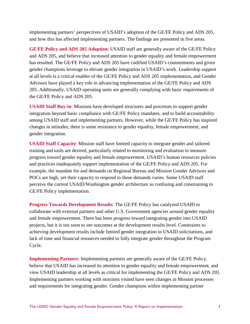implementing partners' perspectives of USAID's adoption of the GE/FE Policy and ADS 205, and how this has affected implementing partners. The findings are presented in five areas.

**GE/FE Policy and ADS 205 Adoption**: USAID staff are generally aware of the GE/FE Policy and ADS 205, and believe that increased attention to gender equality and female empowerment has resulted. The GE/FE Policy and ADS 205 have codified USAID's commitments and given gender champions leverage to elevate gender integration in USAID's work. Leadership support at all levels is a critical enabler of the GE/FE Policy and ADS 205 implementation, and Gender Advisors have played a key role in advancing implementation of the GE/FE Policy and ADS 205. Additionally, USAID operating units are generally complying with basic requirements of the GE/FE Policy and ADS 205.

**USAID Staff Buy-in**: Missions have developed structures and processes to support gender integration beyond basic compliance with GE/FE Policy mandates, and to build accountability among USAID staff and implementing partners. However, while the GE/FE Policy has inspired changes in attitudes, there is some resistance to gender equality, female empowerment, and gender integration.

**USAID Staff Capacity**: Mission staff have limited capacity to integrate gender and tailored training and tools are desired, particularly related to monitoring and evaluation to measure progress toward gender equality and female empowerment. USAID's human resources policies and practices inadequately support implementation of the GE/FE Policy and ADS 205. For example, the mandate for and demands on Regional Bureau and Mission Gender Advisors and POCs are high, yet their capacity to respond to these demands varies. Some USAID staff perceive the current USAID/Washington gender architecture as confusing and constraining to GE/FE Policy implementation.

**Progress Towards Development Results**: The GE/FE Policy has catalyzed USAID to collaborate with external partners and other U.S. Government agencies around gender equality and female empowerment. There has been progress toward integrating gender into USAID projects, but it is too soon to see outcomes at the development results level. Constraints to achieving development results include limited gender integration in USAID solicitations, and lack of time and financial resources needed to fully integrate gender throughout the Program Cycle.

**Implementing Partners**: Implementing partners are generally aware of the GE/FE Policy, believe that USAID has increased its attention to gender equality and female empowerment, and view USAID leadership at all levels as critical for implementing the GE/FE Policy and ADS 205. Implementing partners working with missions visited have seen changes in Mission processes and requirements for integrating gender. Gender champions within implementing partner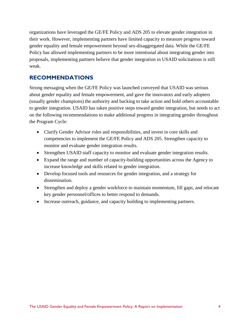organizations have leveraged the GE/FE Policy and ADS 205 to elevate gender integration in their work. However, implementing partners have limited capacity to measure progress toward gender equality and female empowerment beyond sex-disaggregated data. While the GE/FE Policy has allowed implementing partners to be more intentional about integrating gender into proposals, implementing partners believe that gender integration in USAID solicitations is still weak.

### <span id="page-9-0"></span>**RECOMMENDATIONS**

Strong messaging when the GE/FE Policy was launched conveyed that USAID was serious about gender equality and female empowerment, and gave the innovators and early adopters (usually gender champions) the authority and backing to take action and hold others accountable to gender integration. USAID has taken positive steps toward gender integration, but needs to act on the following recommendations to make additional progress in integrating gender throughout the Program Cycle:

- Clarify Gender Advisor roles and responsibilities, and invest in core skills and competencies to implement the GE/FE Policy and ADS 205. Strengthen capacity to monitor and evaluate gender integration results.
- Strengthen USAID staff capacity to monitor and evaluate gender integration results.
- Expand the range and number of capacity-building opportunities across the Agency to increase knowledge and skills related to gender integration.
- Develop focused tools and resources for gender integration, and a strategy for dissemination.
- Strengthen and deploy a gender workforce to maintain momentum, fill gaps, and relocate key gender personnel/offices to better respond to demands.
- Increase outreach, guidance, and capacity building to implementing partners.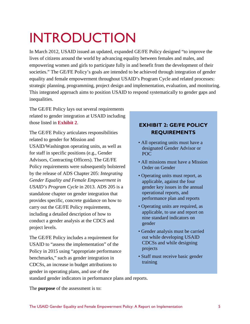## <span id="page-10-0"></span>INTRODUCTION

In March 2012, USAID issued an updated, expanded GE/FE Policy designed "to improve the lives of citizens around the world by advancing equality between females and males, and empowering women and girls to participate fully in and benefit from the development of their societies." The GE/FE Policy's goals are intended to be achieved through integration of gender equality and female empowerment throughout USAID's Program Cycle and related processes: strategic planning, programming, project design and implementation, evaluation, and monitoring. This integrated approach aims to position USAID to respond systematically to gender gaps and inequalities.

The GE/FE Policy lays out several requirements related to gender integration at USAID including those listed in **Exhibit 2**.

The GE/FE Policy articulates responsibilities related to gender for Mission and USAID/Washington operating units, as well as for staff in specific positions (e.g., Gender Advisors, Contracting Officers). The GE/FE Policy requirements were subsequently bolstered by the release of ADS Chapter 205: *Integrating Gender Equality and Female Empowerment in USAID's Program Cycle* in 2013. ADS 205 is a standalone chapter on gender integration that provides specific, concrete guidance on how to carry out the GE/FE Policy requirements, including a detailed description of how to conduct a gender analysis at the CDCS and project levels.

The GE/FE Policy includes a requirement for USAID to "assess the implementation" of the Policy in 2015 using "appropriate performance benchmarks," such as gender integration in CDCSs, an increase in budget attributions to gender in operating plans, and use of the

### **EXHIBIT 2: GE/FE POLICY REQUIREMENTS**

- All operating units must have a designated Gender Advisor or POC
- All missions must have a Mission Order on Gender
- Operating units must report, as applicable, against the four gender key issues in the annual operational reports, and performance plan and reports
- Operating units are required, as applicable, to use and report on nine standard indicators on gender
- Gender analysis must be carried out while developing USAID CDCSs and while designing projects
- Staff must receive basic gender training

standard gender indicators in performance plans and reports.

The **purpose** of the assessment is to: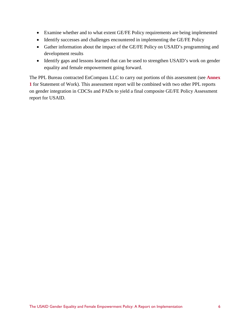- Examine whether and to what extent GE/FE Policy requirements are being implemented
- Identify successes and challenges encountered in implementing the GE/FE Policy
- Gather information about the impact of the GE/FE Policy on USAID's programming and development results
- Identify gaps and lessons learned that can be used to strengthen USAID's work on gender equality and female empowerment going forward.

The PPL Bureau contracted EnCompass LLC to carry out portions of this assessment (see **Annex 1** for Statement of Work). This assessment report will be combined with two other PPL reports on gender integration in CDCSs and PADs to yield a final composite GE/FE Policy Assessment report for USAID.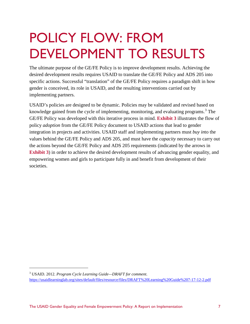## <span id="page-12-0"></span>POLICY FLOW: FROM DEVELOPMENT TO RESULTS

The ultimate purpose of the GE/FE Policy is to improve development results. Achieving the desired development results requires USAID to translate the GE/FE Policy and ADS 205 into specific actions. Successful "translation" of the GE/FE Policy requires a paradigm shift in how gender is conceived, its role in USAID, and the resulting interventions carried out by implementing partners.

USAID's policies are designed to be dynamic. Policies may be validated and revised based on knowledge gained from the cycle of implementing, monitoring, and evaluating programs.<sup>[3](#page-12-1)</sup> The GE/FE Policy was developed with this iterative process in mind. **Exhibit 3** illustrates the flow of policy *adoption* from the GE/FE Policy document to USAID actions that lead to gender integration in projects and activities. USAID staff and implementing partners must *buy in*to the values behind the GE/FE Policy and ADS 205, and must have the *capacity* necessary to carry out the actions beyond the GE/FE Policy and ADS 205 requirements (indicated by the arrows in **Exhibit 3**) in order to achieve the desired development results of advancing gender equality, and empowering women and girls to participate fully in and benefit from development of their societies.

<span id="page-12-1"></span><sup>3</sup> USAID. 2012. *Program Cycle Learning Guide—DRAFT for comment*. <https://usaidlearninglab.org/sites/default/files/resource/files/DRAFT%20Learning%20Guide%207-17-12-2.pdf>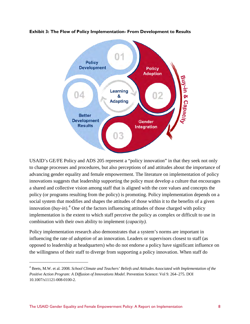

**Exhibit 3: The Flow of Policy Implementation- From Development to Results** 

USAID's GE/FE Policy and ADS 205 represent a "policy innovation" in that they seek not only to change processes and procedures, but also perceptions of and attitudes about the importance of advancing gender equality and female empowerment. The literature on implementation of policy innovations suggests that leadership supporting the policy must develop a culture that encourages a shared and collective vision among staff that is aligned with the core values and concepts the policy (or programs resulting from the policy) is promoting. Policy implementation depends on a social system that modifies and shapes the attitudes of those within it to the benefits of a given innovation  $(buy-in)$ <sup>[4](#page-13-0)</sup>. One of the factors influencing attitudes of those charged with policy implementation is the extent to which staff perceive the policy as complex or difficult to use in combination with their own ability to implement (*capacity).*

Policy implementation research also demonstrates that a system's norms are important in influencing the rate of *adoption* of an innovation. Leaders or supervisors closest to staff (as opposed to leadership at headquarters) who do not endorse a policy have significant influence on the willingness of their staff to diverge from supporting a policy innovation. When staff do

<span id="page-13-0"></span><sup>4</sup> Beets, M.W. et al. 2008. *School Climate and Teachers' Beliefs and Attitudes Associated with Implementation of the Positive Action Program: A Diffusion of Innovations Model*. Prevention Science: Vol 9. 264–275. DOI 10.1007/s11121-008-0100-2.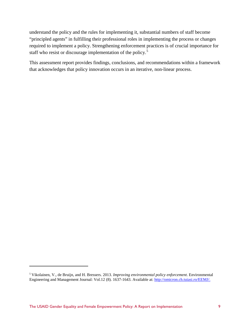understand the policy and the rules for implementing it, substantial numbers of staff become "principled agents" in fulfilling their professional roles in implementing the process or changes required to implement a policy. Strengthening enforcement practices is of crucial importance for staff who resist or discourage implementation of the policy.<sup>[5](#page-14-0)</sup>

This assessment report provides findings, conclusions, and recommendations within a framework that acknowledges that policy innovation occurs in an iterative, non-linear process.

<span id="page-14-0"></span><sup>5</sup> Vikolainen, V., de Bruijn, and H. Bressers. 2013. *Improving environmental policy enforcement*. Environmental Engineering and Management Journal: Vol.12 (8). 1637-1643. Available at: [http://omicron.ch.tuiasi.ro/EEMJ/.](http://omicron.ch.tuiasi.ro/EEMJ/)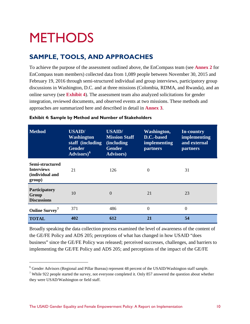## <span id="page-15-0"></span>**METHODS**

 $\overline{a}$ 

## <span id="page-15-1"></span>**SAMPLE, TOOLS, AND APPROACHES**

To achieve the purpose of the assessment outlined above, the EnCompass team (see **Annex 2** for EnCompass team members) collected data from 1,089 people between November 30, 2015 and February 19, 2016 through semi-structured individual and group interviews, participatory group discussions in Washington, D.C. and at three missions (Colombia, RDMA, and Rwanda), and an online survey (see **Exhibit 4**). The assessment team also analyzed solicitations for gender integration, reviewed documents, and observed events at two missions. These methods and approaches are summarized here and described in detail in **Annex 3**.

| <b>Method</b>                                                     | <b>USAID/</b><br><b>Washington</b><br>staff (including)<br><b>Gender</b><br>Advisors) <sup>6</sup> | <b>USAID/</b><br><b>Mission Staff</b><br><i>(including)</i><br><b>Gender</b><br><b>Advisors</b> ) | Washington,<br>D.C.-based<br><i>implementing</i><br><b>partners</b> | <b>In-country</b><br>implementing<br>and external<br><b>partners</b> |
|-------------------------------------------------------------------|----------------------------------------------------------------------------------------------------|---------------------------------------------------------------------------------------------------|---------------------------------------------------------------------|----------------------------------------------------------------------|
| Semi-structured<br><b>Interviews</b><br>(individual and<br>group) | 21                                                                                                 | 126                                                                                               | $\Omega$                                                            | 31                                                                   |
| Participatory<br>Group<br><b>Discussions</b>                      | 10                                                                                                 | $\overline{0}$                                                                                    | 21                                                                  | 23                                                                   |
| <b>Online Survey</b>                                              | 371                                                                                                | 486                                                                                               | $\Omega$                                                            | $\overline{0}$                                                       |
| <b>TOTAL</b>                                                      | 402                                                                                                | 612                                                                                               | 21                                                                  | 54                                                                   |

#### **Exhibit 4: Sample by Method and Number of Stakeholders**

Broadly speaking the data collection process examined the level of awareness of the content of the GE/FE Policy and ADS 205; perceptions of what has changed in how USAID "does business" since the GE/FE Policy was released; perceived successes, challenges, and barriers to implementing the GE/FE Policy and ADS 205; and perceptions of the impact of the GE/FE

<span id="page-15-2"></span><sup>6</sup> Gender Advisors (Regional and Pillar Bureau) represent 48 percent of the USAID/Washington staff sample.

<span id="page-15-3"></span><sup>&</sup>lt;sup>7</sup> While 922 people started the survey, not everyone completed it. Only 857 answered the question about whether they were USAD/Washington or field staff.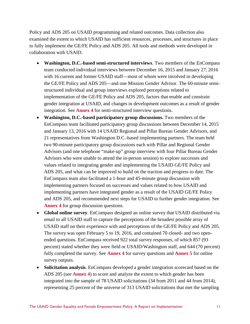Policy and ADS 205 on USAID programming and related outcomes. Data collection also examined the extent to which USAID has sufficient resources, processes, and structures in place to fully implement the GE/FE Policy and ADS 205. All tools and methods were developed in collaboration with USAID.

- **Washington, D.C.-based semi-structured interviews**. Two members of the EnCompass team conducted individual interviews between December 16, 2015 and January 27, 2016 with 16 current and former USAID staff—most of whom were involved in developing the GE/FE Policy and ADS 205—and one Mission Gender Advisor. The 60-minute semistructured individual and group interviews explored perceptions related to implementation of the GE/FE Policy and ADS 205, factors that enable and constrain gender integration at USAID, and changes in development outcomes as a result of gender integration. See **Annex 4** for semi-structured interview questions.
- **Washington, D.C.-based participatory group discussions.** Two members of the EnCompass team facilitated participatory group discussions between December 14, 2015 and January 13, 2016 with 14 USAID Regional and Pillar Bureau Gender Advisors, and 21 representatives from Washington D.C.-based implementing partners. The team held two 90-minute participatory group discussions each with Pillar and Regional Gender Advisors (and one telephone "make-up" group interview with four Pillar Bureau Gender Advisors who were unable to attend the in-person session) to explore successes and values related to integrating gender and implementing the USAID GE/FE Policy and ADS 205, and what can be improved to build on the traction and progress to date. The EnCompass team also facilitated a 1-hour and 45-minute group discussion with implementing partners focused on successes and values related to how USAID and implementing partners have integrated gender as a result of the USAID GE/FE Policy and ADS 205, and recommended next steps for USAID to further gender integration. See **Annex 4** for group discussion questions.
- **Global online survey**. EnCompass designed an online survey that USAID distributed via email to all USAID staff to capture the perceptions of the broadest possible array of USAID staff on their experience with and perceptions of the GE/FE Policy and ADS 205. The survey was open February 5 to 19, 2016, and contained 70 closed- and two openended questions. EnCompass received 922 total survey responses, of which 857 (93 percent) stated whether they were field or USAID/Washington staff, and 644 (70 percent) fully completed the survey. See **Annex 4** for survey questions and **Annex 5** for online survey outputs.
- **Solicitation analysis**. EnCompass developed a gender integration scorecard based on the ADS 205 (see **Annex 4**) to score and analyze the extent to which gender has been integrated into the sample of 78 USAID solicitations (34 from 2011 and 44 from 2014), representing 25 percent of the universe of 313 USAID solicitations that met the sampling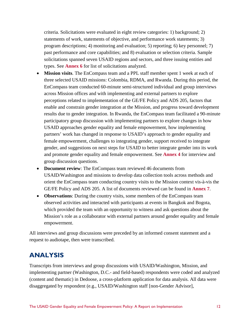criteria. Solicitations were evaluated in eight review categories: 1) background; 2) statements of work, statements of objective, and performance work statements; 3) program descriptions; 4) monitoring and evaluation; 5) reporting; 6) key personnel; 7) past performance and core capabilities; and 8) evaluation or selection criteria. Sample solicitations spanned seven USAID regions and sectors, and three issuing entities and types. See **Annex 6** for list of solicitations analyzed.

- **Mission visits**. The EnCompass team and a PPL staff member spent 1 week at each of three selected USAID missions: Colombia, RDMA, and Rwanda. During this period, the EnCompass team conducted 60-minute semi-structured individual and group interviews across Mission offices and with implementing and external partners to explore perceptions related to implementation of the GE/FE Policy and ADS 205, factors that enable and constrain gender integration at the Mission, and progress toward development results due to gender integration. In Rwanda, the EnCompass team facilitated a 90-minute participatory group discussion with implementing partners to explore changes in how USAID approaches gender equality and female empowerment, how implementing partners' work has changed in response to USAID's approach to gender equality and female empowerment, challenges to integrating gender, support received to integrate gender, and suggestions on next steps for USAID to better integrate gender into its work and promote gender equality and female empowerment. See **Annex 4** for interview and group discussion questions.
- **Document review**: The EnCompass team reviewed 46 documents from USAID/Washington and missions to develop data collection tools across methods and orient the EnCompass team conducting country visits to the Mission context vis-à-vis the GE/FE Policy and ADS 205. A list of documents reviewed can be found in **Annex 7**.
- **Observations**: During the country visits, some members of the EnCompass team observed activities and interacted with participants at events in Bangkok and Bogota, which provided the team with an opportunity to witness and ask questions about the Mission's role as a collaborator with external partners around gender equality and female empowerment.

All interviews and group discussions were preceded by an informed consent statement and a request to audiotape, then were transcribed.

## <span id="page-17-0"></span>**ANALYSIS**

Transcripts from interviews and group discussions with USAID/Washington, Mission, and implementing partner (Washington, D.C.- and field-based) respondents were coded and analyzed (content and thematic) in Dedoose, a cross-platform application for data analysis. All data were disaggregated by respondent (e.g., USAID/Washington staff [non-Gender Advisor],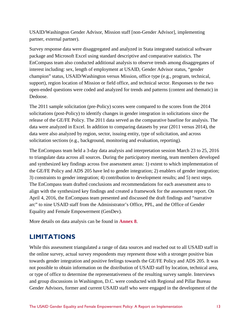USAID/Washington Gender Advisor, Mission staff [non-Gender Advisor], implementing partner, external partner).

Survey response data were disaggregated and analyzed in Stata integrated statistical software package and Microsoft Excel using standard descriptive and comparative statistics. The EnCompass team also conducted additional analysis to observe trends among disaggregates of interest including: sex, length of employment at USAID, Gender Advisor status, "gender champion" status, USAID/Washington versus Mission, office type (e.g., program, technical, support), region location of Mission or field office, and technical sector. Responses to the two open-ended questions were coded and analyzed for trends and patterns (content and thematic) in Dedoose.

The 2011 sample solicitation (pre-Policy) scores were compared to the scores from the 2014 solicitations (post-Policy) to identify changes in gender integration in solicitations since the release of the GE/FE Policy. The 2011 data served as the comparative baseline for analysis. The data were analyzed in Excel. In addition to comparing datasets by year (2011 versus 2014), the data were also analyzed by region, sector, issuing entity, type of solicitation, and across solicitation sections (e.g., background, monitoring and evaluation, reporting).

The EnCompass team held a 3-day data analysis and interpretation session March 23 to 25, 2016 to triangulate data across all sources. During the participatory meeting, team members developed and synthesized key findings across five assessment areas: 1) extent to which implementation of the GE/FE Policy and ADS 205 have led to gender integration; 2) enablers of gender integration; 3) constraints to gender integration; 4) contribution to development results; and 5) next steps. The EnCompass team drafted conclusions and recommendations for each assessment area to align with the synthesized key findings and created a framework for the assessment report. On April 4, 2016, the EnCompass team presented and discussed the draft findings and "narrative arc" to nine USAID staff from the Administrator's Office, PPL, and the Office of Gender Equality and Female Empowerment (GenDev).

More details on data analysis can be found in **Annex 8**.

## <span id="page-18-0"></span>**LIMITATIONS**

While this assessment triangulated a range of data sources and reached out to all USAID staff in the online survey, actual survey respondents may represent those with a stronger positive bias towards gender integration and positive feelings towards the GE/FE Policy and ADS 205. It was not possible to obtain information on the distribution of USAID staff by location, technical area, or type of office to determine the representativeness of the resulting survey sample. Interviews and group discussions in Washington, D.C. were conducted with Regional and Pillar Bureau Gender Advisors, former and current USAID staff who were engaged in the development of the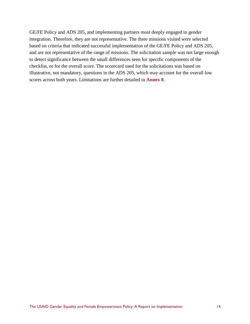GE/FE Policy and ADS 205, and implementing partners most deeply engaged in gender integration. Therefore, they are not representative. The three missions visited were selected based on criteria that indicated successful implementation of the GE/FE Policy and ADS 205, and are not representative of the range of missions. The solicitation sample was not large enough to detect significance between the small differences seen for specific components of the checklist, or for the overall score. The scorecard used for the solicitations was based on illustrative, not mandatory, questions in the ADS 205, which may account for the overall low scores across both years. Limitations are further detailed in **Annex 8**.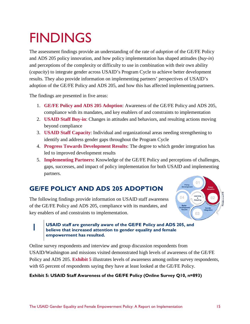## <span id="page-20-0"></span>**FINDINGS**

The assessment findings provide an understanding of the rate of *adoption* of the GE/FE Policy and ADS 205 policy innovation, and how policy implementation has shaped attitudes (*buy-in*) and perceptions of the complexity or difficulty to use in combination with their own ability (*capacity*) to integrate gender across USAID's Program Cycle to achieve better development results. They also provide information on implementing partners' perspectives of USAID's adoption of the GE/FE Policy and ADS 205, and how this has affected implementing partners.

The findings are presented in five areas:

- 1. **GE/FE Policy and ADS 205 Adoption**: Awareness of the GE/FE Policy and ADS 205, compliance with its mandates, and key enablers of and constraints to implementation
- 2. **USAID Staff Buy-in**: Changes in attitudes and behaviors, and resulting actions moving beyond compliance
- 3. **USAID Staff Capacity**: Individual and organizational areas needing strengthening to identify and address gender gaps throughout the Program Cycle
- 4. **Progress Towards Development Results**: The degree to which gender integration has led to improved development results
- 5. **Implementing Partners:** Knowledge of the GE/FE Policy and perceptions of challenges, gaps, successes, and impact of policy implementation for both USAID and implementing partners.

## <span id="page-20-1"></span>**GE/FE POLICY AND ADS 205 ADOPTION**

The following findings provide information on USAID staff awareness of the GE/FE Policy and ADS 205, compliance with its mandates, and key enablers of and constraints to implementation.



## 1 **USAID staff are generally aware of the GE/FE Policy and ADS 205, and believe that increased attention to gender equality and female empowerment has resulted.**

Online survey respondents and interview and group discussion respondents from USAID/Washington and missions visited demonstrated high levels of awareness of the GE/FE Policy and ADS 205. **Exhibit 5** illustrates levels of awareness among online survey respondents, with 65 percent of respondents saying they have at least looked at the GE/FE Policy.

### **Exhibit 5: USAID Staff Awareness of the GE/FE Policy (Online Survey Q10, n=893)**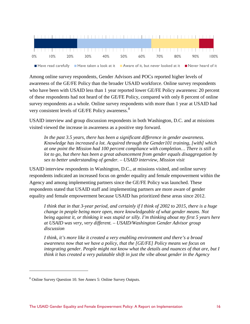

Among online survey respondents, Gender Advisors and POCs reported higher levels of awareness of the GE/FE Policy than the broader USAID workforce. Online survey respondents who have been with USAID less than 1 year reported lower GE/FE Policy awareness: 20 percent of these respondents had not heard of the GE/FE Policy, compared with only 8 percent of online survey respondents as a whole. Online survey respondents with more than 1 year at USAID had very consistent levels of GE/FE Policy awareness.<sup>[8](#page-21-0)</sup>

USAID interview and group discussion respondents in both Washington, D.C. and at missions visited viewed the increase in awareness as a positive step forward.

*In the past 3.5 years, there has been a significant difference in gender awareness. Knowledge has increased a lot. Acquired through the Gender101 training, [with] which at one point the Mission had 100 percent compliance with completion… There is still a lot to go, but there has been a great advancement from gender equals disaggregation by sex to better understanding of gender. – USAID interview, Mission visit* 

USAID interview respondents in Washington, D.C., at missions visited, and online survey respondents indicated an increased focus on gender equality and female empowerment within the Agency and among implementing partners since the GE/FE Policy was launched. These respondents stated that USAID staff and implementing partners are more aware of gender equality and female empowerment because USAID has prioritized these areas since 2012.

*I think that in that 3-year period, and certainly if I think of 2002 to 2015, there is a huge change in people being more open, more knowledgeable of what gender means. Not being against it, or thinking it was stupid or silly. I'm thinking about my first 5 years here at USAID was very, very different. – USAID/Washington Gender Advisor group discussion* 

*I think, it's more like it created a very enabling environment and there's a broad awareness now that we have a policy, that the [GE/FE] Policy means we focus on integrating gender. People might not know what the details and nuances of that are, but I think it has created a very palatable shift in just the vibe about gender in the Agency* 

<span id="page-21-0"></span><sup>8</sup> Online Survey Question 10. See Annex 5: Online Survey Outputs.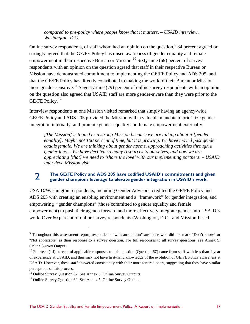*compared to pre-policy where people know that it matters. – USAID interview, Washington, D.C.* 

Online survey respondents, of staff whom had an opinion on the question, <sup>[9](#page-22-0)</sup> 84 percent agreed or strongly agreed that the GE/FE Policy has raised awareness of gender equality and female empowerment in their respective Bureau or Mission.<sup>10</sup> Sixty-nine (69) percent of survey respondents with an opinion on the question agreed that staff in their respective Bureau or Mission have demonstrated commitment to implementing the GE/FE Policy and ADS 205, and that the GE/FE Policy has directly contributed to making the work of their Bureau or Mission more gender-sensitive.<sup>[11](#page-22-2)</sup> Seventy-nine (79) percent of online survey respondents with an opinion on the question also agreed that USAID staff are more gender-aware than they were prior to the GE/FE Policy.<sup>[12](#page-22-3)</sup>

Interview respondents at one Mission visited remarked that simply having an agency-wide GE/FE Policy and ADS 205 provided the Mission with a valuable mandate to prioritize gender integration internally, and promote gender equality and female empowerment externally.

*[The Mission] is touted as a strong Mission because we are talking about it [gender equality]. Maybe not 100 percent of time, but it is growing. We have moved past gender equals female. We are thinking about gender norms, approaching activities through a gender lens… We have devoted so many resources to ourselves, and now we are appreciating [that] we need to 'share the love' with our implementing partners. – USAID interview, Mission visit*

## 2 **The GE/FE Policy and ADS 205 have codified USAID's commitments and given gender champions leverage to elevate gender integration in USAID's work.**

USAID/Washington respondents, including Gender Advisors, credited the GE/FE Policy and ADS 205 with creating an enabling environment and a "framework" for gender integration, and empowering "gender champions" (those committed to gender equality and female empowerment) to push their agenda forward and more effectively integrate gender into USAID's work. Over 60 percent of online survey respondents (Washington, D.C.- and Mission-based

<span id="page-22-0"></span><sup>9</sup> Throughout this assessment report, respondents "with an opinion" are those who did not mark "Don't know" or "Not applicable" as their response to a survey question. For full responses to all survey questions, see Annex 5: Online Survey Output.

<span id="page-22-1"></span> $10$  Fourteen (14) percent of applicable responses to this question (Question 67) came from staff with less than 1 year of experience at USAID, and thus may not have first-hand knowledge of the evolution of GE/FE Policy awareness at USAID. However, these staff answered consistently with their more tenured peers, suggesting that they have similar perceptions of this process.

<span id="page-22-2"></span><sup>&</sup>lt;sup>11</sup> Online Survey Question 67. See Annex 5: Online Survey Outputs.  $12$  Online Survey Outputs.

<span id="page-22-3"></span>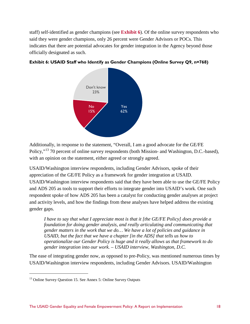staff) self-identified as gender champions (see **Exhibit 6**). Of the online survey respondents who said they were gender champions, only 26 percent were Gender Advisors or POCs. This indicates that there are potential advocates for gender integration in the Agency beyond those officially designated as such.



#### **Exhibit 6: USAID Staff who Identify as Gender Champions (Online Survey Q9, n=768)**

Additionally, in response to the statement, "Overall, I am a good advocate for the GE/FE Policy,"[13](#page-23-0) 70 percent of online survey respondents (both Mission- and Washington, D.C.-based), with an opinion on the statement, either agreed or strongly agreed.

USAID/Washington interview respondents, including Gender Advisors, spoke of their appreciation of the GE/FE Policy as a framework for gender integration at USAID. USAID/Washington interview respondents said that they have been able to use the GE/FE Policy and ADS 205 as tools to support their efforts to integrate gender into USAID's work. One such respondent spoke of how ADS 205 has been a catalyst for conducting gender analyses at project and activity levels, and how the findings from these analyses have helped address the existing gender gaps.

*I have to say that what I appreciate most is that it [the GE/FE Policy] does provide a foundation for doing gender analysis, and really articulating and communicating that gender matters in the work that we do… We have a lot of policies and guidance in USAID, but the fact that we have a chapter [in the ADS] that tells us how to operationalize our Gender Policy is huge and it really allows us that framework to do gender integration into our work. – USAID interview, Washington, D.C.* 

The ease of integrating gender now, as opposed to pre-Policy, was mentioned numerous times by USAID/Washington interview respondents, including Gender Advisors. USAID/Washington

<span id="page-23-0"></span> $13$  Online Survey Question 15. See Annex 5: Online Survey Outputs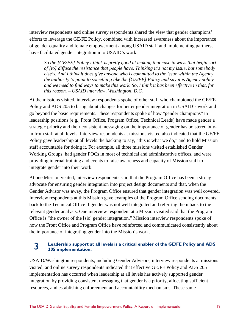interview respondents and online survey respondents shared the view that gender champions' efforts to leverage the GE/FE Policy, combined with increased awareness about the importance of gender equality and female empowerment among USAID staff and implementing partners, have facilitated gender integration into USAID's work.

*So the [GE/FE] Policy I think is pretty good at making that case in ways that begin sort of [to] diffuse the resistance that people have. Thinking it's not my issue, but somebody else's. And I think it does give anyone who is committed to the issue within the Agency the authority to point to something like the [GE/FE] Policy and say it is Agency policy and we need to find ways to make this work. So, I think it has been effective in that, for this reason. – USAID interview, Washington, D.C.* 

At the missions visited, interview respondents spoke of other staff who championed the GE/FE Policy and ADS 205 to bring about changes for better gender integration in USAID's work and go beyond the basic requirements. These respondents spoke of how "gender champions" in leadership positions (e.g., Front Office, Program Office, Technical Leads) have made gender a strategic priority and their consistent messaging on the importance of gender has bolstered buyin from staff at all levels. Interview respondents at missions visited also indicated that the GE/FE Policy gave leadership at all levels the backing to say, "this is what we do," and to hold Mission staff accountable for doing it. For example, all three missions visited established Gender Working Groups, had gender POCs in most of technical and administrative offices, and were providing internal training and events to raise awareness and capacity of Mission staff to integrate gender into their work.

At one Mission visited, interview respondents said that the Program Office has been a strong advocate for ensuring gender integration into project design documents and that, when the Gender Advisor was away, the Program Office ensured that gender integration was well covered. Interview respondents at this Mission gave examples of the Program Office sending documents back to the Technical Office if gender was not well integrated and referring them back to the relevant gender analysis. One interview respondent at a Mission visited said that the Program Office is "the owner of the [sic] gender integration." Mission interview respondents spoke of how the Front Office and Program Office have reinforced and communicated consistently about the importance of integrating gender into the Mission's work.

### **3 Leadership support at all levels is a critical enabler of the GE/FE Policy and ADS 205 implementation.**

USAID/Washington respondents, including Gender Advisors, interview respondents at missions visited, and online survey respondents indicated that effective GE/FE Policy and ADS 205 implementation has occurred when leadership at all levels has actively supported gender integration by providing consistent messaging that gender is a priority, allocating sufficient resources, and establishing enforcement and accountability mechanisms. These same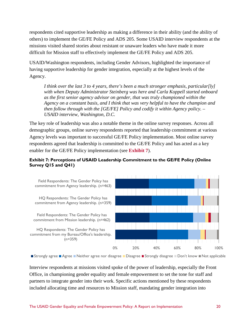respondents cited supportive leadership as making a difference in their ability (and the ability of others) to implement the GE/FE Policy and ADS 205. Some USAID interview respondents at the missions visited shared stories about resistant or unaware leaders who have made it more difficult for Mission staff to effectively implement the GE/FE Policy and ADS 205.

USAID/Washington respondents, including Gender Advisors, highlighted the importance of having supportive leadership for gender integration, especially at the highest levels of the Agency.

*I think over the last 3 to 4 years, there's been a much stronger emphasis, particular[ly] with when Deputy Administrator Steinberg was here and Carla Koppell started onboard as the first senior agency advisor on gender, that was truly championed within the Agency on a constant basis, and I think that was very helpful to have the champion and then follow through with the [GE/FE] Policy and codify it within Agency policy. – USAID interview, Washington, D.C.* 

The key role of leadership was also a notable theme in the online survey responses. Across all demographic groups, online survey respondents reported that leadership commitment at various Agency levels was important to successful GE/FE Policy implementation. Most online survey respondents agreed that leadership is committed to the GE/FE Policy and has acted as a key enabler for the GE/FE Policy implementation (see **Exhibit 7**).

#### **Exhibit 7: Perceptions of USAID Leadership Commitment to the GE/FE Policy (Online Survey Q15 and Q41)**



■ Strongly agree ■ Agree ■ Neither agree nor disagree ■ Disagree ■ Strongly disagree ■ Don't know ■ Not applicable

Interview respondents at missions visited spoke of the power of leadership, especially the Front Office, in championing gender equality and female empowerment to set the tone for staff and partners to integrate gender into their work. Specific actions mentioned by these respondents included allocating time and resources to Mission staff, mandating gender integration into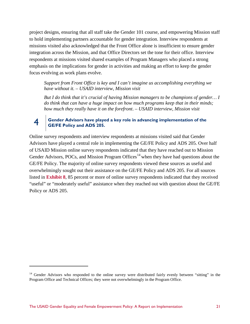project designs, ensuring that all staff take the Gender 101 course, and empowering Mission staff to hold implementing partners accountable for gender integration. Interview respondents at missions visited also acknowledged that the Front Office alone is insufficient to ensure gender integration across the Mission, and that Office Directors set the tone for their office. Interview respondents at missions visited shared examples of Program Managers who placed a strong emphasis on the implications for gender in activities and making an effort to keep the gender focus evolving as work plans evolve.

*Support from Front Office is key and I can't imagine us accomplishing everything we have without it. – USAID interview, Mission visit*

*But I do think that it's crucial of having Mission managers to be champions of gender… I do think that can have a huge impact on how much programs keep that in their minds; how much they really have it on the forefront*. *– USAID interview, Mission visit*

#### 4 **Gender Advisors have played a key role in advancing implementation of the GE/FE Policy and ADS 205.**

Online survey respondents and interview respondents at missions visited said that Gender Advisors have played a central role in implementing the GE/FE Policy and ADS 205. Over half of USAID Mission online survey respondents indicated that they have reached out to Mission Gender Advisors, POCs, and Mission Program Offices<sup>[14](#page-26-0)</sup> when they have had questions about the GE/FE Policy. The majority of online survey respondents viewed these sources as useful and overwhelmingly sought out their assistance on the GE/FE Policy and ADS 205. For all sources listed in **Exhibit 8**, 85 percent or more of online survey respondents indicated that they received "useful" or "moderately useful" assistance when they reached out with question about the GE/FE Policy or ADS 205.

<span id="page-26-0"></span><sup>&</sup>lt;sup>14</sup> Gender Advisors who responded to the online survey were distributed fairly evenly between "sitting" in the Program Office and Technical Offices; they were not overwhelmingly in the Program Office.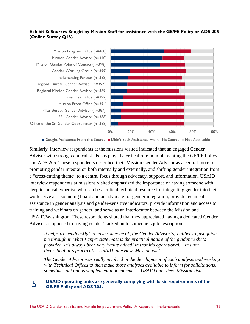#### **Exhibit 8: Sources Sought by Mission Staff for assistance with the GE/FE Policy or ADS 205 (Online Survey Q16)**



■ Sought Assistance From this Source ■ Didn't Seek Assistance From This Source ■ Not Applicable

Similarly, interview respondents at the missions visited indicated that an engaged Gender Advisor with strong technical skills has played a critical role in implementing the GE/FE Policy and ADS 205. These respondents described their Mission Gender Advisor as a central force for promoting gender integration both internally and externally, and shifting gender integration from a "cross-cutting theme" to a central focus through advocacy, support, and information. USAID interview respondents at missions visited emphasized the importance of having someone with deep technical expertise who can be a critical technical resource for integrating gender into their work serve as a sounding board and an advocate for gender integration, provide technical assistance in gender analysis and gender-sensitive indicators, provide information and access to training and webinars on gender, and serve as an interlocutor between the Mission and USAID/Washington. These respondents shared that they appreciated having a dedicated Gender Advisor as opposed to having gender "tacked on to someone's job description."

*It helps tremendous[ly] to have someone of [the Gender Advisor's] caliber to just guide me through it. What I appreciate most is the practical nature of the guidance she's provided. It's always been very 'value added' in that it's operational… It's not theoretical, it's practical. – USAID interview, Mission visit*

*The Gender Advisor was really involved in the development of each analysis and working with Technical Offices to then make those analyses available to inform for solicitations, sometimes put out as supplemental documents*. *– USAID interview, Mission visit*

#### 5 **USAID operating units are generally complying with basic requirements of the GE/FE Policy and ADS 205.**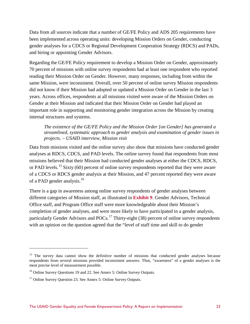Data from all sources indicate that a number of GE/FE Policy and ADS 205 requirements have been implemented across operating units: developing Mission Orders on Gender, conducting gender analyses for a CDCS or Regional Development Cooperation Strategy (RDCS) and PADs, and hiring or appointing Gender Advisors.

Regarding the GE/FE Policy requirement to develop a Mission Order on Gender, approximately 70 percent of missions with online survey respondents had at least one respondent who reported reading their Mission Order on Gender. However, many responses, including from within the same Mission, were inconsistent. Overall, over 50 percent of online survey Mission respondents did not know if their Mission had adopted or updated a Mission Order on Gender in the last 3 years. Across offices, respondents at all missions visited were aware of the Mission Orders on Gender at their Mission and indicated that their Mission Order on Gender had played an important role in supporting and monitoring gender integration across the Mission by creating internal structures and systems.

#### *The existence of the GE/FE Policy and the Mission Order [on Gender] has generated a streamlined, systematic approach to gender analysis and examination of gender issues in projects. – USAID interview, Mission visit*

Data from missions visited and the online survey also show that missions have conducted gender analyses at RDCS, CDCS, and PAD levels. The online survey found that respondents from most missions believed that their Mission had conducted gender analyses at either the CDCS, RDCS, or PAD levels.<sup>[15](#page-28-0)</sup> Sixty (60) percent of online survey respondents reported that they were aware of a CDCS or RDCS gender analysis at their Mission, and 47 percent reported they were aware of a PAD gender analysis.<sup>[16](#page-28-1)</sup>

There is a gap in awareness among online survey respondents of gender analyses between different categories of Mission staff, as illustrated in **Exhibit 9**. Gender Advisors, Technical Office staff, and Program Office staff were more knowledgeable about their Mission's completion of gender analyses, and were more likely to have participated in a gender analysis, particularly Gender Advisors and POCs.<sup>[17](#page-28-2)</sup> Thirty-eight (38) percent of online survey respondents with an opinion on the question agreed that the "level of staff time and skill to do gender

<span id="page-28-0"></span><sup>&</sup>lt;sup>15</sup> The survey data cannot show the definitive number of missions that conducted gender analyses because respondents from several missions provided inconsistent answers. Thus, "awareness" of a gender analyses is the most precise level of measurement possible.

<span id="page-28-1"></span><sup>&</sup>lt;sup>16</sup> Online Survey Questions 19 and 22. See Annex 5: Online Survey Outputs.

<span id="page-28-2"></span><sup>&</sup>lt;sup>17</sup> Online Survey Question 23. See Annex 5: Online Survey Outputs.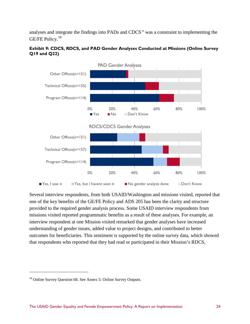analyses and integrate the findings into PADs and CDCS*"* was a constraint to implementing the GE/FE Policy. [18](#page-29-0)

#### **Exhibit 9: CDCS, RDCS, and PAD Gender Analyses Conducted at Missions (Online Survey Q19 and Q22)**



Several interview respondents, from both USAID/Washington and missions visited, reported that one of the key benefits of the GE/FE Policy and ADS 205 has been the clarity and structure provided to the required gender analysis process. Some USAID interview respondents from missions visited reported programmatic benefits as a result of these analyses. For example, an interview respondent at one Mission visited remarked that gender analyses have increased understanding of gender issues, added value to project designs, and contributed to better outcomes for beneficiaries. This sentiment is supported by the online survey data, which showed that respondents who reported that they had read or participated in their Mission's RDCS,

<span id="page-29-0"></span><sup>&</sup>lt;sup>18</sup> Online Survey Question 68. See Annex 5: Online Survey Outputs.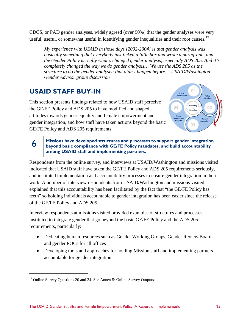CDCS, or PAD gender analyses, widely agreed (over 90%) that the gender analyses were very useful, useful, or somewhat useful in identifying gender inequalities and their root causes.<sup>[19](#page-30-1)</sup>

*My experience with USAID in those days [2002-2004] is that gender analysis was basically something that everybody just ticked a little box and wrote a paragraph, and the Gender Policy is really what's changed gender analysis, especially ADS 205. And it's completely changed the way we do gender analysis… We use the ADS 205 as the structure to do the gender analysis; that didn't happen before. – USAID/Washington Gender Advisor group discussion* 

## <span id="page-30-0"></span>**USAID STAFF BUY-IN**

This section presents findings related to how USAID staff perceive the GE/FE Policy and ADS 205 to have modified and shaped attitudes towards gender equality and female empowerment and gender integration, and how staff have taken actions beyond the basic GE/FE Policy and ADS 205 requirements.



## 6 **Missions have developed structures and processes to support gender integration beyond basic compliance with GE/FE Policy mandates, and build accountability among USAID staff and implementing partners.**

Respondents from the online survey, and interviews at USAID/Washington and missions visited indicated that USAID staff have taken the GE/FE Policy and ADS 205 requirements seriously, and instituted implementation and accountability processes to ensure gender integration in their work. A number of interview respondents from USAID/Washington and missions visited explained that this accountability has been facilitated by the fact that "the GE/FE Policy has teeth" so holding individuals accountable to gender integration has been easier since the release of the GE/FE Policy and ADS 205.

Interview respondents at missions visited provided examples of structures and processes instituted to integrate gender that go beyond the basic GE/FE Policy and the ADS 205 requirements, particularly:

- Dedicating human resources such as Gender Working Groups, Gender Review Boards, and gender POCs for all offices
- Developing tools and approaches for holding Mission staff and implementing partners accountable for gender integration.

<span id="page-30-1"></span> $19$  Online Survey Questions 20 and 24. See Annex 5: Online Survey Outputs.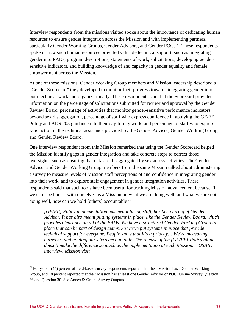Interview respondents from the missions visited spoke about the importance of dedicating human resources to ensure gender integration across the Mission and with implementing partners, particularly Gender Working Groups, Gender Advisors, and Gender POCs.<sup>20</sup> These respondents spoke of how such human resources provided valuable technical support, such as integrating gender into PADs, program descriptions, statements of work, solicitations, developing gendersensitive indicators, and building knowledge of and capacity in gender equality and female empowerment across the Mission.

At one of these missions, Gender Working Group members and Mission leadership described a "Gender Scorecard" they developed to monitor their progress towards integrating gender into both technical work and organizationally. These respondents said that the Scorecard provided information on the percentage of solicitations submitted for review and approval by the Gender Review Board, percentage of activities that monitor gender-sensitive performance indicators beyond sex disaggregation, percentage of staff who express confidence in applying the GE/FE Policy and ADS 205 guidance into their day-to-day work, and percentage of staff who express satisfaction in the technical assistance provided by the Gender Advisor, Gender Working Group, and Gender Review Board.

One interview respondent from this Mission remarked that using the Gender Scorecard helped the Mission identify gaps in gender integration and take concrete steps to correct those oversights, such as ensuring that data are disaggregated by sex across activities. The Gender Advisor and Gender Working Group members from the same Mission talked about administering a survey to measure levels of Mission staff perceptions of and confidence in integrating gender into their work, and to explore staff engagement in gender integration activities. These respondents said that such tools have been useful for tracking Mission advancement because "if we can't be honest with ourselves as a Mission on what we are doing well, and what we are not doing well, how can we hold [others] accountable?"

*[GE/FE] Policy implementation has meant hiring staff, has been hiring of Gender Advisor. It has also meant putting systems in place, like the Gender Review Board, which provides clearance on all of the PADs. We have a structured Gender Working Group in place that can be part of design teams. So we've put systems in place that provide technical support for everyone. People know that it's a priority… We're measuring ourselves and holding ourselves accountable. The release of the [GE/FE] Policy alone doesn't make the difference so much as the implementation at each Mission. – USAID interview, Mission visit* 

<span id="page-31-0"></span> $20$  Forty-four (44) percent of field-based survey respondents reported that their Mission has a Gender Working Group, and 78 percent reported that their Mission has at least one Gender Advisor or POC. Online Survey Question 36 and Question 30. See Annex 5: Online Survey Outputs.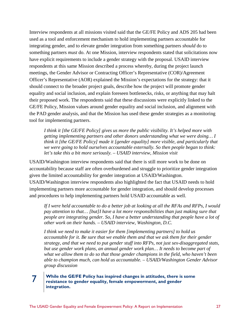Interview respondents at all missions visited said that the GE/FE Policy and ADS 205 had been used as a tool and enforcement mechanism to hold implementing partners accountable for integrating gender, and to elevate gender integration from something partners *should* do to something partners *must* do. At one Mission, interview respondents stated that solicitations now have explicit requirements to include a gender strategy with the proposal. USAID interview respondents at this same Mission described a process whereby, during the project launch meetings, the Gender Advisor or Contracting Officer's Representative (COR)/Agreement Officer's Representative (AOR) explained the Mission's expectations for the strategy: that it should connect to the broader project goals, describe how the project will promote gender equality and social inclusion, and explain foreseen bottlenecks, risks, or anything that may halt their proposed work. The respondents said that these discussions were explicitly linked to the GE/FE Policy, Mission values around gender equality and social inclusion, and alignment with the PAD gender analysis, and that the Mission has used these gender strategies as a monitoring tool for implementing partners.

*I think it [the GE/FE Policy] gives us more the public visibility. It's helped more with getting implementing partners and other donors understanding what we were doing… I think it [the GE/FE Policy] made it [gender equality] more visible, and particularly that we were going to hold ourselves accountable externally. So then people began to think: let's take this a bit more seriously. – USAID interview, Mission visit*

USAID/Washington interview respondents said that there is still more work to be done on accountability because staff are often overburdened and struggle to prioritize gender integration given the limited accountability for gender integration at USAID/Washington. USAID/Washington interview respondents also highlighted the fact that USAID needs to hold implementing partners more accountable for gender integration, and should develop processes and procedures to help implementing partners hold USAID accountable as well.

*If I were held accountable to do a better job at looking at all the RFAs and RFPs, I would pay attention to that… [but]I have a lot more responsibilities than just making sure that people are integrating gender. So, I have a better understanding that people have a lot of other work on their hands. – USAID interview, Washington, D.C.*

*I think we need to make it easier for them [implementing partners] to hold us accountable for it. Be sure that we enable them and that we ask them for their gender strategy, and that we need to put gender stuff into RFPs, not just sex-disaggregated stats,*  but use gender work plans, an annual gender work plan... It needs to become part of *what we allow them to do so that those gender champions in the field, who haven't been able to champion much, can hold us accountable. – USAID/Washington Gender Advisor group discussion* 

## 7 **While the GE/FE Policy has inspired changes in attitudes, there is some resistance to gender equality, female empowerment, and gender integration.**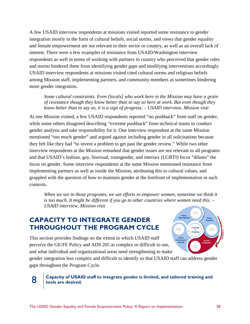A few USAID interview respondents at missions visited reported some resistance to gender integration mostly in the form of cultural beliefs, social norms, and views that gender equality and female empowerment are not relevant to their sector or country, as well as an overall lack of interest. There were a few examples of resistance from USAID/Washington interview respondents as well in terms of working with partners in country who perceived that gender roles and norms hindered them from identifying gender gaps and modifying interventions accordingly. USAID interview respondents at missions visited cited cultural norms and religious beliefs among Mission staff, implementing partners, and community members as sometimes hindering more gender integration.

*Some cultural constraints. Even [locals] who work here in the Mission may have a grain of resistance though they know better than to say so here at work. But even though they know better than to say so, it is a sign of progress. – USAID interview, Mission visit* 

At one Mission visited, a few USAID respondents reported "no pushback" from staff on gender, while some others disagreed describing "extreme pushback" from technical teams to conduct gender analysis and take responsibility for it. One interview respondent at the same Mission mentioned "too much gender" and argued against including gender in all solicitations because they felt like they had "to invent a problem to get past the gender review." While two other interview respondents at the Mission remarked that gender issues are not relevant to all programs and that USAID's lesbian, gay, bisexual, transgender, and intersex (LGBTI) focus "dilutes" the focus on gender. Some interview respondents at the same Mission mentioned resistance from implementing partners as well as inside the Mission, attributing this to cultural values, and grappled with the question of how to maintain gender at the forefront of implementation in such contexts.

When we see in those programs, we see efforts to empower women, sometime we think it *is too much. It might be different if you go to other countries where women need this. – USAID interview, Mission visit*

## <span id="page-33-0"></span>**CAPACITY TO INTEGRATE GENDER THROUGHOUT THE PROGRAM CYCLE**

This section provides findings on the extent to which USAID staff perceive the GE/FE Policy and ADS 205 as complex or difficult to use, and what individual and organizational areas need strengthening to make



gender integration less complex and difficult to identify so that USAID staff can address gender gaps throughout the Program Cycle.

#### 8 **Capacity of USAID staff to integrate gender is limited, and tailored training and tools are desired.**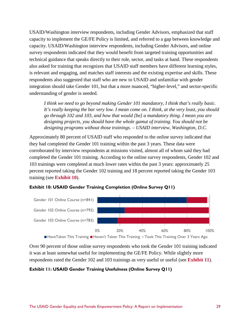USAID/Washington interview respondents, including Gender Advisors, emphasized that staff capacity to implement the GE/FE Policy is limited, and referred to a gap between knowledge and capacity. USAID/Washington interview respondents, including Gender Advisors, and online survey respondents indicated that they would benefit from targeted training opportunities and technical guidance that speaks directly to their role, sector, and tasks at hand. These respondents also asked for training that recognizes that USAID staff members have different learning styles, is relevant and engaging, and matches staff interests and the existing expertise and skills. These respondents also suggested that staff who are new to USAID and unfamiliar with gender integration should take Gender 101, but that a more nuanced, "higher-level," and sector-specific understanding of gender is needed.

*I think we need to go beyond making Gender 101 mandatory, I think that's really basic. It's really keeping the bar very low. I mean come on. I think, at the very least, you should go through 102 and 103, and how that would [be] a mandatory thing. I mean you are designing projects, you should have the whole gamut of training. You should not be designing programs without those trainings. – USAID interview, Washington, D.C.* 

Approximately 80 percent of USAID staff who responded to the online survey indicated that they had completed the Gender 101 training within the past 3 years. These data were corroborated by interview respondents at missions visited, almost all of whom said they had completed the Gender 101 training. According to the online survey respondents, Gender 102 and 103 trainings were completed at much lower rates within the past 3 years: approximately 25 percent reported taking the Gender 102 training and 18 percent reported taking the Gender 103 training (see **Exhibit 10**).





Over 90 percent of those online survey respondents who took the Gender 101 training indicated it was at least somewhat useful for implementing the GE/FE Policy. While slightly more respondents rated the Gender 102 and 103 trainings as very useful or useful (see **Exhibit 11**).

#### **Exhibit 11: USAID Gender Training Usefulness (Online Survey Q11)**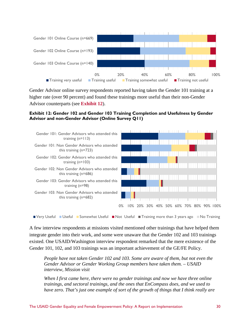

Gender Advisor online survey respondents reported having taken the Gender 101 training at a higher rate (over 90 percent) and found these trainings more useful than their non-Gender Advisor counterparts (see **Exhibit 12**).

#### **Exhibit 12: Gender 102 and Gender 103 Training Completion and Usefulness by Gender Advisor and non-Gender Advisor (Online Survey Q11)**



**Very Useful II Useful II Somewhat Useful II Not Useful II Training more than 3 years ago III No Training** 

A few interview respondents at missions visited mentioned other trainings that have helped them integrate gender into their work, and some were unaware that the Gender 102 and 103 trainings existed. One USAID/Washington interview respondent remarked that the mere existence of the Gender 101, 102, and 103 trainings was an important achievement of the GE/FE Policy.

*People have not taken Gender 102 and 103. Some are aware of them, but not even the Gender Advisor or Gender Working Group members have taken them. – USAID interview, Mission visit* 

*When I first came here, there were no gender trainings and now we have three online trainings, and sectoral trainings, and the ones that EnCompass does, and we used to have zero. That's just one example of sort of the growth of things that I think really are*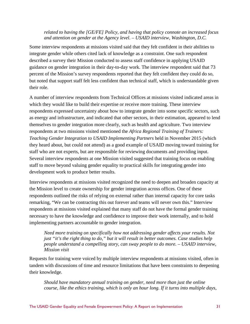### *related to having the [GE/FE] Policy, and having that policy connote an increased focus and attention on gender at the Agency level. – USAID interview, Washington, D.C.*

Some interview respondents at missions visited said that they felt confident in their abilities to integrate gender while others cited lack of knowledge as a constraint. One such respondent described a survey their Mission conducted to assess staff confidence in applying USAID guidance on gender integration in their day-to-day work. The interview respondent said that 73 percent of the Mission's survey respondents reported that they felt confident they could do so, but noted that support staff felt less confident than technical staff, which is understandable given their role.

A number of interview respondents from Technical Offices at missions visited indicated areas in which they would like to build their expertise or receive more training. These interview respondents expressed uncertainty about how to integrate gender into some specific sectors, such as energy and infrastructure, and indicated that other sectors, in their estimation, appeared to lend themselves to gender integration more clearly, such as health and agriculture. Two interview respondents at two missions visited mentioned the *Africa Regional Training of Trainers: Teaching Gender Integration to USAID Implementing Partners* held in November 2015 (which they heard about, but could not attend) as a good example of USAID moving toward training for staff who are not experts, but are responsible for reviewing documents and providing input. Several interview respondents at one Mission visited suggested that training focus on enabling staff to move beyond valuing gender equality to practical skills for integrating gender into development work to produce better results.

Interview respondents at missions visited recognized the need to deepen and broaden capacity at the Mission level to create ownership for gender integration across offices. One of these respondents outlined the risks of relying on external rather than internal capacity for core tasks remarking, "We can be contracting this out forever and teams will never own this." Interview respondents at missions visited explained that many staff do not have the formal gender training necessary to have the knowledge and confidence to improve their work internally, and to hold implementing partners accountable to gender integration.

*Need more training on specifically how not addressing gender affects your results. Not just "it's the right thing to do," but it will result in better outcomes. Case studies help people understand a compelling story, can sway people to do more. – USAID interview, Mission visit*

Requests for training were voiced by multiple interview respondents at missions visited, often in tandem with discussions of time and resource limitations that have been constraints to deepening their knowledge.

*Should have mandatory annual training on gender, need more than just the online course, like the ethics training, which is only an hour long. If it turns into multiple days,*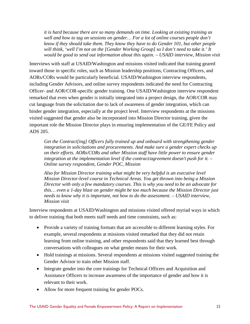*it is hard because there are so many demands on time. Looking at existing training as well and how to tag on sessions on gender… For a lot of online courses people don't know if they should take them. They know they have to do Gender 101, but other people will think, 'well I'm not on the [Gender Working Group] so I don't need to take it.' It would be good to send out information about this again. – USAID interview, Mission visit*

Interviews with staff at USAID/Washington and missions visited indicated that training geared toward those in specific roles, such as Mission leadership positions, Contracting Officers, and AORs/CORs would be particularly beneficial. USAID/Washington interview respondents, including Gender Advisors, and online survey respondents indicated the need for Contracting Officer- and AOR/COR-specific gender training. One USAID/Washington interview respondent remarked that even when gender is initially integrated into a project design, the AOR/COR may cut language from the solicitation due to lack of awareness of gender integration, which can hinder gender integration, especially at the project level. Interview respondents at the missions visited suggested that gender also be incorporated into Mission Director training, given the important role the Mission Director plays in ensuring implementation of the GE/FE Policy and ADS 205.

*Get the Contract[ing] Officers fully trained up and onboard with strengthening gender integration in solicitations and procurements. And make sure a gender expert checks up on their efforts. AORs/CORs and other Mission staff have little power to ensure gender integration at the implementation level if the contract/agreement doesn't push for it. – Online* s*urvey respondent, Gender POC, Mission* 

*Also for Mission Director training what might be very helpful is an executive level Mission Director-level course in Technical Areas. You get thrown into being a Mission Director with only a few mandatory courses. This is why you need to be an advocate for this… even a 1-day blast on gender might be too much because the Mission Director just needs to know why it is important, not how to do the assessment. – USAID interview, Mission visit*

Interview respondents at USAID/Washington and missions visited offered myriad ways in which to deliver training that both meets staff needs and time constraints, such as:

- Provide a variety of training formats that are accessible to different learning styles. For example, several respondents at missions visited remarked that they did not retain learning from online training, and other respondents said that they learned best through conversations with colleagues on what gender means for their work.
- Hold trainings at missions. Several respondents at missions visited suggested training the Gender Advisor to train other Mission staff.
- Integrate gender into the core trainings for Technical Officers and Acquisition and Assistance Officers to increase awareness of the importance of gender and how it is relevant to their work.
- Allow for more frequent training for gender POCs.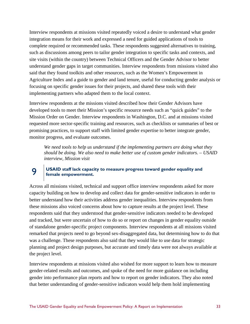Interview respondents at missions visited repeatedly voiced a desire to understand what gender integration means for their work and expressed a need for guided applications of tools to complete required or recommended tasks. These respondents suggested alternatives to training, such as discussions among peers to tailor gender integration to specific tasks and contexts, and site visits (within the country) between Technical Officers and the Gender Advisor to better understand gender gaps in target communities. Interview respondents from missions visited also said that they found toolkits and other resources, such as the Women's Empowerment in Agriculture Index and a guide to gender and land tenure, useful for conducting gender analysis or focusing on specific gender issues for their projects, and shared these tools with their implementing partners who adapted them to the local context.

Interview respondents at the missions visited described how their Gender Advisors have developed tools to meet their Mission's specific resource needs such as "quick guides" to the Mission Order on Gender. Interview respondents in Washington, D.C. and at missions visited requested more sector-specific training and resources, such as checklists or summaries of best or promising practices, to support staff with limited gender expertise to better integrate gender, monitor progress, and evaluate outcomes.

*We need tools to help us understand if the implementing partners are doing what they should be doing. We also need to make better use of custom gender indicators. – USAID interview, Mission visit*

### 9 **USAID staff lack capacity to measure progress toward gender equality and female empowerment.**

Across all missions visited, technical and support office interview respondents asked for more capacity building on how to develop and collect data for gender-sensitive indicators in order to better understand how their activities address gender inequalities. Interview respondents from these missions also voiced concerns about how to capture results at the project level. These respondents said that they understood that gender-sensitive indicators needed to be developed and tracked, but were uncertain of how to do so or report on changes in gender equality outside of standalone gender-specific project components. Interview respondents at all missions visited remarked that projects need to go beyond sex-disaggregated data, but determining how to do that was a challenge. These respondents also said that they would like to use data for strategic planning and project design purposes, but accurate and timely data were not always available at the project level.

Interview respondents at missions visited also wished for more support to learn how to measure gender-related results and outcomes, and spoke of the need for more guidance on including gender into performance plan reports and how to report on gender indicators. They also noted that better understanding of gender-sensitive indicators would help them hold implementing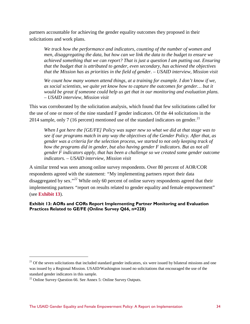partners accountable for achieving the gender equality outcomes they proposed in their solicitations and work plans.

*We track how the performance and indicators, counting of the number of women and men, disaggregating the data, but how can we link the data to the budget to ensure we achieved something that we can report? That is just a question I am putting out. Ensuring that the budget that is attributed to gender, even secondary, has achieved the objectives that the Mission has as priorities in the field of gender. – USAID interview, Mission visit*

*We count how many women attend things, at a training for example. I don't know if we, as social scientists, we quite yet know how to capture the outcomes for gender… but it would be great if someone could help us get that in our monitoring and evaluation plans. – USAID interview, Mission visit* 

This was corroborated by the solicitation analysis, which found that few solicitations called for the use of one or more of the nine standard F gender indicators. Of the 44 solicitations in the 2014 sample, only 7 (16 percent) mentioned use of the standard indicators on gender.<sup>[21](#page-39-0)</sup>

*When I got here the [GE/FE] Policy was super new so what we did at that stage was to see if our programs match in any way the objectives of the Gender Policy. After that, as gender was a criteria for the selection process, we started to not only keeping track of how the programs did in gender, but also having gender F indicators. But as not all gender F indicators apply, that has been a challenge so we created some gender outcome indicators. – USAID interview, Mission visit*

A similar trend was seen among online survey respondents. Over 80 percent of AOR/COR respondents agreed with the statement: *"*My implementing partners report their data disaggregated by sex*.*"*[22](#page-39-1)* While only 60 percent of online survey respondents agreed that their implementing partners *"*report on results related to gender equality and female empowerment" (see **Exhibit 13**).

**Exhibit 13: AORs and CORs Report Implementing Partner Monitoring and Evaluation Practices Related to GE/FE (Online Survey Q66, n=228)**

 $\overline{a}$ 

<span id="page-39-0"></span> $21$  Of the seven solicitations that included standard gender indicators, six were issued by bilateral missions and one was issued by a Regional Mission. USAID/Washington issued no solicitations that encouraged the use of the standard gender indicators in this sample.

<span id="page-39-1"></span> $22$  Online Survey Question 66. See Annex 5: Online Survey Outputs.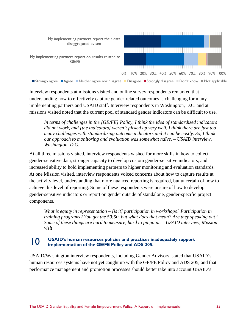

Interview respondents at missions visited and online survey respondents remarked that understanding how to effectively capture gender-related outcomes is challenging for many implementing partners and USAID staff. Interview respondents in Washington, D.C. and at missions visited noted that the current pool of standard gender indicators can be difficult to use.

*In terms of challenges in the [GE/FE] Policy, I think the idea of standardized indicators did not work, and [the indicators] weren't picked up very well. I think there are just too many challenges with standardizing outcome indicators and it can be costly. So, I think our approach to monitoring and evaluation was somewhat naïve. – USAID interview, Washington, D.C.*

At all three missions visited, interview respondents wished for more skills in how to collect gender-sensitive data, stronger capacity to develop custom gender-sensitive indicators, and increased ability to hold implementing partners to higher monitoring and evaluation standards. At one Mission visited, interview respondents voiced concerns about how to capture results at the activity level, understanding that more nuanced reporting is required, but uncertain of how to achieve this level of reporting. Some of these respondents were unsure of how to develop gender-sensitive indicators or report on gender outside of standalone, gender-specific project components.

*What is equity in representation – [is it] participation in workshops? Participation in training programs? You get the 50:50, but what does that mean? Are they speaking out? Some of these things are hard to measure, hard to pinpoint. – USAID interview, Mission visit* 

# 10 **USAID's human resources policies and practices inadequately support implementation of the GE/FE Policy and ADS 205.**

USAID/Washington interview respondents, including Gender Advisors, stated that USAID's human resources systems have not yet caught up with the GE/FE Policy and ADS 205, and that performance management and promotion processes should better take into account USAID's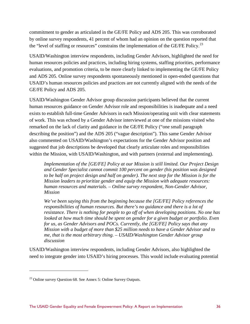commitment to gender as articulated in the GE/FE Policy and ADS 205. This was corroborated by online survey respondents, 41 percent of whom had an opinion on the question reported that the "level of staffing or resources" constrains the implementation of the GE/FE Policy.<sup>23</sup>

USAID/Washington interview respondents, including Gender Advisors, highlighted the need for human resources policies and practices, including hiring systems, staffing priorities, performance evaluations, and promotion criteria, to be more clearly linked to implementing the GE/FE Policy and ADS 205. Online survey respondents spontaneously mentioned in open-ended questions that USAID's human resources policies and practices are not currently aligned with the needs of the GE/FE Policy and ADS 205.

USAID/Washington Gender Advisor group discussion participants believed that the current human resources guidance on Gender Advisor role and responsibilities is inadequate and a need exists to establish full-time Gender Advisors in each Mission/operating unit with clear statements of work. This was echoed by a Gender Advisor interviewed at one of the missions visited who remarked on the lack of clarity and guidance in the GE/FE Policy ("one small paragraph describing the position") and the ADS 205 ("vague description"). This same Gender Advisor also commented on USAID/Washington's expectations for the Gender Advisor position and suggested that job descriptions be developed that clearly articulate roles and responsibilities within the Mission, with USAID/Washington, and with partners (external and implementing).

*Implementation of the [GE/FE] Policy at our Mission is still limited. Our Project Design and Gender Specialist cannot commit 100 percent on gender (his position was designed to be half on project design and half on gender). The next step for the Mission is for the Mission leaders to prioritize gender and equip the Mission with adequate resources: human resources and materials. – Online survey respondent, Non-Gender Advisor, Mission*

*We've been saying this from the beginning because the [GE/FE] Policy references the responsibilities of human resources. But there's no guidance and there is a lot of resistance. There is nothing for people to go off of when developing positions. No one has looked at how much time should be spent on gender for a given budget or portfolio. Even for us, as Gender Advisors and POCs. Currently, the [GE/FE] Policy says that any Mission with a budget of more than \$25 million needs to have a Gender Advisor and to me, that is the most arbitrary thing. – USAID/Washington Gender Advisor group discussion* 

USAID/Washington interview respondents, including Gender Advisors, also highlighted the need to integrate gender into USAID's hiring processes. This would include evaluating potential

 $\overline{a}$ 

<span id="page-41-0"></span> $23$  Online survey Question 68. See Annex 5: Online Survey Outputs.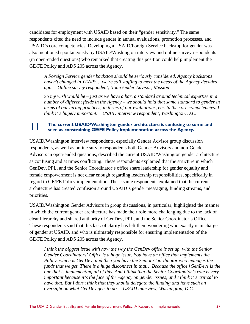candidates for employment with USAID based on their "gender sensitivity." The same respondents cited the need to include gender in annual evaluations, promotion processes, and USAID's core competencies. Developing a USAID/Foreign Service backstop for gender was also mentioned spontaneously by USAID/Washington interview and online survey respondents (in open-ended questions) who remarked that creating this position could help implement the GE/FE Policy and ADS 205 across the Agency.

*A Foreign Service gender backstop should be seriously considered. Agency backstops haven't changed in YEARS… we're still staffing to meet the needs of the Agency decades ago. – Online survey respondent, Non-Gender Advisor, Mission* 

*So my wish would be – just as we have a bar, a standard around technical expertise in a number of different fields in the Agency – we should hold that same standard to gender in terms of our hiring practices, in terms of our evaluations, etc. In the core competencies. I think it's hugely important. – USAID interview respondent, Washington, D.C.* 

# 11 **The current USAID/Washington gender architecture is confusing to some and seen as constraining GE/FE Policy implementation across the Agency.**

USAID/Washington interview respondents, especially Gender Advisor group discussion respondents, as well as online survey respondents both Gender Advisors and non-Gender Advisors in open-ended questions, described the current USAID/Washington gender architecture as confusing and at times conflicting. These respondents explained that the structure in which GenDev, PPL, and the Senior Coordinator's office share leadership for gender equality and female empowerment is not clear enough regarding leadership responsibilities, specifically in regard to GE/FE Policy implementation. These same respondents explained that the current architecture has created confusion around USAID's gender messaging, funding streams, and priorities.

USAID/Washington Gender Advisors in group discussions, in particular, highlighted the manner in which the current gender architecture has made their role more challenging due to the lack of clear hierarchy and shared authority of GenDev, PPL, and the Senior Coordinator's Office. These respondents said that this lack of clarity has left them wondering who exactly is in charge of gender at USAID, and who is ultimately responsible for ensuring implementation of the GE/FE Policy and ADS 205 across the Agency.

*I think the biggest issue with how the way the GenDev office is set up, with the Senior Gender Coordinators' Office is a huge issue. You have an office that implements the Policy, which is GenDev, and then you have the Senior Coordinator who manages the funds that we get. There is a huge disconnect in that… Because the office [GenDev] is the one that is implementing all of this. And I think that the Senior Coordinator's role is very important because it's the face of the Agency on gender issues, and I think it's critical to*  have that. But I don't think that they should delegate the funding and have such an *oversight on what GenDev gets to do. – USAID interview, Washington, D.C.*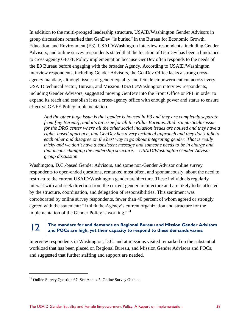In addition to the multi-pronged leadership structure, USAID/Washington Gender Advisors in group discussions remarked that GenDev "is buried" in the Bureau for Economic Growth, Education, and Environment (E3). USAID/Washington interview respondents, including Gender Advisors, and online survey respondents stated that the location of GenDev has been a hindrance to cross-agency GE/FE Policy implementation because GenDev often responds to the needs of the E3 Bureau before engaging with the broader Agency. According to USAID/Washington interview respondents, including Gender Advisors, the GenDev Office lacks a strong crossagency mandate, although issues of gender equality and female empowerment cut across every USAID technical sector, Bureau, and Mission. USAID/Washington interview respondents, including Gender Advisors, suggested moving GenDev into the Front Office or PPL in order to expand its reach and establish it as a cross-agency office with enough power and status to ensure effective GE/FE Policy implementation.

*And the other huge issue is that gender is housed in E3 and they are completely separate from [my Bureau], and it's an issue for all the Pillar Bureaus. And is a particular issue for the DRG center where all the other social inclusion issues are housed and they have a rights-based approach, and GenDev has a very technical approach and they don't talk to each other and disagree on the best way to go about integrating gender. That is really tricky and we don't have a consistent message and someone needs to be in charge and that means changing the leadership structure. – USAID/Washington Gender Advisor group discussion* 

Washington, D.C.-based Gender Advisors, and some non-Gender Advisor online survey respondents to open-ended questions, remarked most often, and spontaneously, about the need to restructure the current USAID/Washington gender architecture. These individuals regularly interact with and seek direction from the current gender architecture and are likely to be affected by the structure, coordination, and delegation of responsibilities. This sentiment was corroborated by online survey respondents, fewer than 40 percent of whom agreed or strongly agreed with the statement: "I think the Agency's current organization and structure for the implementation of the Gender Policy is working."<sup>[24](#page-43-0)</sup>

# **12** The mandate for and demands on Regional Bureau and Mission Gender Advisors and POCs are high, yet their capacity to respond to these demands varies.

Interview respondents in Washington, D.C. and at missions visited remarked on the substantial workload that has been placed on Regional Bureau, and Mission Gender Advisors and POCs, and suggested that further staffing and support are needed.

 $\overline{a}$ 

<span id="page-43-0"></span> $24$  Online Survey Question 67. See Annex 5: Online Survey Outputs.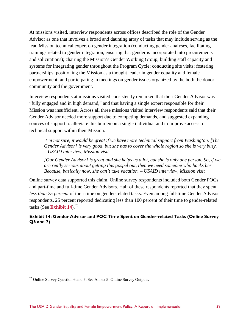At missions visited, interview respondents across offices described the role of the Gender Advisor as one that involves a broad and daunting array of tasks that may include serving as the lead Mission technical expert on gender integration (conducting gender analyses, facilitating trainings related to gender integration, ensuring that gender is incorporated into procurements and solicitations); chairing the Mission's Gender Working Group; building staff capacity and systems for integrating gender throughout the Program Cycle; conducting site visits; fostering partnerships; positioning the Mission as a thought leader in gender equality and female empowerment; and participating in meetings on gender issues organized by the both the donor community and the government.

Interview respondents at missions visited consistently remarked that their Gender Advisor was "fully engaged and in high demand," and that having a single expert responsible for their Mission was insufficient. Across all three missions visited interview respondents said that their Gender Advisor needed more support due to competing demands, and suggested expanding sources of support to alleviate this burden on a single individual and to improve access to technical support within their Mission.

 *I'm not sure, it would be great if we have more technical support from Washington. [The Gender Advisor] is very good, but she has to cover the whole region so she is very busy. – USAID interview, Mission visit*

*[Our Gender Advisor] is great and she helps us a lot, but she is only one person. So, if we are really serious about getting this gospel out, then we need someone who backs her. Because, basically now, she can't take vacation. – USAID interview, Mission visit*

Online survey data supported this claim. Online survey respondents included both Gender POCs and part-time and full-time Gender Advisors. Half of these respondents reported that they spent *less than 25 percent* of their time on gender-related tasks. Even among full-time Gender Advisor respondents, 25 percent reported dedicating less than 100 percent of their time to gender-related tasks (See **Exhibit 14**).<sup>[25](#page-44-0)</sup>

**Exhibit 14: Gender Advisor and POC Time Spent on Gender-related Tasks (Online Survey Q6 and 7)**

 $\overline{a}$ 

<span id="page-44-0"></span> $25$  Online Survey Question 6 and 7. See Annex 5: Online Survey Outputs.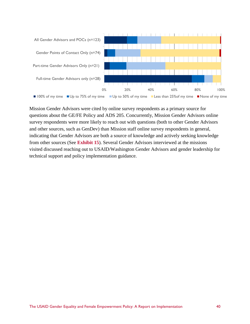

Mission Gender Advisors were cited by online survey respondents as a primary source for questions about the GE/FE Policy and ADS 205. Concurrently, Mission Gender Advisors online survey respondents were more likely to reach out with questions (both to other Gender Advisors and other sources, such as GenDev) than Mission staff online survey respondents in general, indicating that Gender Advisors are both a source of knowledge and actively seeking knowledge from other sources (See **Exhibit 15**). Several Gender Advisors interviewed at the missions visited discussed reaching out to USAID/Washington Gender Advisors and gender leadership for technical support and policy implementation guidance.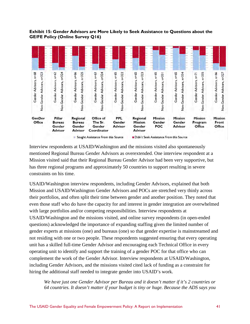#### **Exhibit 15: Gender Advisors are More Likely to Seek Assistance to Questions about the GE/FE Policy (Online Survey Q16)**



Interview respondents at USAID/Washington and the missions visited also spontaneously mentioned Regional Bureau Gender Advisors as overextended. One interview respondent at a Mission visited said that their Regional Bureau Gender Advisor had been very supportive, but has three regional programs and approximately 50 countries to support resulting in severe constraints on his time.

USAID/Washington interview respondents, including Gender Advisors, explained that both Mission and USAID/Washington Gender Advisors and POCs are stretched very thinly across their portfolios, and often split their time between gender and another position. They noted that even those staff who do have the capacity for and interest in gender integration are overwhelmed with large portfolios and/or competing responsibilities. Interview respondents at USAID/Washington and the missions visited, and online survey respondents (in open-ended questions) acknowledged the importance of expanding staffing given the limited number of gender experts at missions (one) and bureaus (one) so that gender expertise is mainstreamed and not residing with one or two people. These respondents suggested ensuring that every operating unit has a skilled full-time Gender Advisor and encouraging each Technical Office in every operating unit to identify and support the training of a gender POC for that office who can complement the work of the Gender Advisor. Interview respondents at USAID/Washington, including Gender Advisors, and the missions visited cited lack of funding as a constraint for hiring the additional staff needed to integrate gender into USAID's work.

*We have just one Gender Advisor per Bureau and it doesn't matter if it's 2 countries or 64 countries. It doesn't matter if your budget is tiny or huge. Because the ADS says you*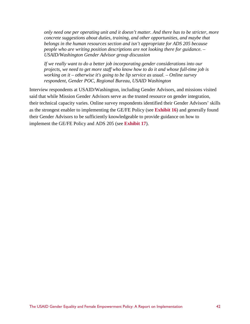*only need one per operating unit and it doesn't matter. And there has to be stricter, more concrete suggestions about duties, training, and other opportunities, and maybe that belongs in the human resources section and isn't appropriate for ADS 205 because people who are writing position descriptions are not looking there for guidance. – USAID/Washington Gender Advisor group discussion* 

*If we really want to do a better job incorporating gender considerations into our projects, we need to get more staff who know how to do it and whose full-time job is working on it – otherwise it's going to be lip service as usual. – Online survey respondent, Gender POC, Regional Bureau, USAID Washington* 

Interview respondents at USAID/Washington, including Gender Advisors, and missions visited said that while Mission Gender Advisors serve as the trusted resource on gender integration, their technical capacity varies. Online survey respondents identified their Gender Advisors' skills as the strongest enabler to implementing the GE/FE Policy (see **Exhibit 16**) and generally found their Gender Advisors to be sufficiently knowledgeable to provide guidance on how to implement the GE/FE Policy and ADS 205 (see **Exhibit 17**).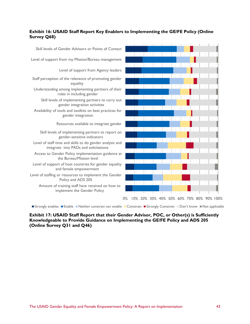### **Exhibit 16: USAID Staff Report Key Enablers to Implementing the GE/FE Policy (Online Survey Q68)**



Strongly enables Enable Neither constrain nor enable Constrain Strongly Constrain Don't know Not applicable

**Exhibit 17: USAID Staff Report that their Gender Advisor, POC, or Other(s) is Sufficiently Knowledgeable to Provide Guidance on Implementing the GE/FE Policy and ADS 205 (Online Survey Q31 and Q46)**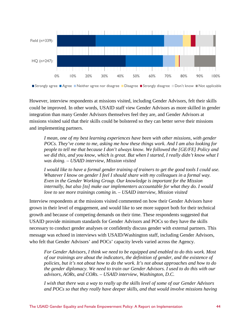

However, interview respondents at missions visited, including Gender Advisors, felt their skills could be improved. In other words, USAID staff view Gender Advisors as more skilled in gender integration than many Gender Advisors themselves feel they are, and Gender Advisors at missions visited said that their skills could be bolstered so they can better serve their missions and implementing partners.

*I mean, one of my best learning experiences have been with other missions, with gender POCs. They've come to me, asking me how these things work. And I am also looking for people to tell me that because I don't always know. We followed the [GE/FE] Policy and we did this, and you know, which is great. But when I started, I really didn't know what I was doing. – USAID interview, Mission visited*

*I would like to have a formal gender training of trainers to get the good tools I could use. Whatever I know on gender I feel I should share with my colleagues in a formal way. Even in the Gender Working Group. Our knowledge is important for the Mission internally, but also [to] make our implementers accountable for what they do. I would love to see more trainings coming in. – USAID interview, Mission visited* 

Interview respondents at the missions visited commented on how their Gender Advisors have grown in their level of engagement, and would like to see more support both for their technical growth and because of competing demands on their time. These respondents suggested that USAID provide minimum standards for Gender Advisors and POCs so they have the skills necessary to conduct gender analyses or confidently discuss gender with external partners. This message was echoed in interviews with USAID/Washington staff, including Gender Advisors, who felt that Gender Advisors' and POCs' capacity levels varied across the Agency.

*For Gender Advisors, I think we need to be equipped and enabled to do this work. Most of our trainings are about the indicators, the definition of gender, and the existence of policies, but it's not about how to do the work. It's not about approaches and how to do the gender diplomacy. We need to train our Gender Advisors. I used to do this with our advisors, AORs, and CORs. – USAID interview, Washington, D.C.* 

*I wish that there was a way to really up the skills level of some of our Gender Advisors and POCs so that they really have deeper skills, and that would involve missions having*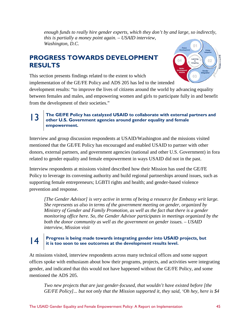*enough funds to really hire gender experts, which they don't by and large, so indirectly, this is partially a money point again. – USAID interview, Washington, D.C.* 

# **PROGRESS TOWARDS DEVELOPMENT RESULTS**



This section presents findings related to the extent to which implementation of the GE/FE Policy and ADS 205 has led to the intended

development results: "to improve the lives of citizens around the world by advancing equality between females and males, and empowering women and girls to participate fully in and benefit from the development of their societies."

### **13** The GE/FE Policy has catalyzed USAID to collaborate with external partners and <br> **13** other U.S. Covernment experies around sandar and the and famels **other U.S. Government agencies around gender equality and female empowerment.**

Interview and group discussion respondents at USAID/Washington and the missions visited mentioned that the GE/FE Policy has encouraged and enabled USAID to partner with other donors, external partners, and government agencies (national and other U.S. Government) in fora related to gender equality and female empowerment in ways USAID did not in the past.

Interview respondents at missions visited described how their Mission has used the GE/FE Policy to leverage its convening authority and build regional partnerships around issues, such as supporting female entrepreneurs; LGBTI rights and health; and gender-based violence prevention and response.

*[The Gender Advisor] is very active in terms of being a resource for Embassy writ large. She represents us also in terms of the government meeting on gender, organized by Ministry of Gender and Family Promotion, as well as the fact that there is a gender monitoring office here. So, the Gender Advisor participates in meetings organized by the both the donor community as well as the government on gender issues. – USAID interview, Mission visit*

# **14 Progress is being made towards integrating gender into USAID projects, but it is too soon to see outcomes at the development results level.**

At missions visited, interview respondents across many technical offices and some support offices spoke with enthusiasm about how their programs, projects, and activities were integrating gender, and indicated that this would not have happened without the GE/FE Policy, and some mentioned the ADS 205.

*Two new projects that are just gender-focused, that wouldn't have existed before [the GE/FE Policy]... but not only that the Mission supported it, they said, 'Oh hey, here is \$4*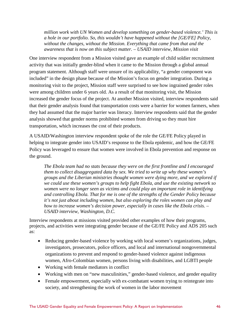*million work with UN Women and develop something on gender-based violence.' This is a hole in our portfolio. So, this wouldn't have happened without the [GE/FE] Policy, without the changes, without the Mission. Everything that came from that and the awareness that is now on this subject matter. – USAID interview, Mission visit*

One interview respondent from a Mission visited gave an example of child soldier recruitment activity that was initially gender-blind when it came to the Mission through a global annual program statement. Although staff were unsure of its applicability, "a gender component was included" in the design phase because of the Mission's focus on gender integration. During a monitoring visit to the project, Mission staff were surprised to see how ingrained gender roles were among children under 6 years old. As a result of that monitoring visit, the Mission increased the gender focus of the project. At another Mission visited, interview respondents said that their gender analysis found that transportation costs were a barrier for women farmers, when they had assumed that the major barrier was literacy. Interview respondents said that the gender analysis showed that gender norms prohibited women from driving so they must hire transportation, which increases the cost of their products.

A USAID/Washington interview respondent spoke of the role the GE/FE Policy played in helping to integrate gender into USAID's response to the Ebola epidemic, and how the GE/FE Policy was leveraged to ensure that women were involved in Ebola prevention and response on the ground.

*The Ebola team had no stats because they were on the first frontline and I encouraged them to collect disaggregated data by sex. We tried to write up why these women's groups and the Liberian ministries thought women were dying more, and we explored if we could use these women's groups to help fight Ebola, and use the existing network so women were no longer seen as victims and could play an important role in identifying and controlling Ebola. That for me is one of the strengths of the Gender Policy because it's not just about including women, but also exploring the roles women can play and how to increase women's decision power, especially in cases like the Ebola crisis. – USAID interview, Washington, D.C.* 

Interview respondents at missions visited provided other examples of how their programs, projects, and activities were integrating gender because of the GE/FE Policy and ADS 205 such as:

- Reducing gender-based violence by working with local women's organizations, judges, investigators, prosecutors, police officers, and local and international nongovernmental organizations to prevent and respond to gender-based violence against indigenous women, Afro-Colombian women, persons living with disabilities, and LGBTI people
- Working with female mediators in conflict
- Working with men on "new masculinities," gender-based violence, and gender equality
- Female empowerment, especially with ex-combatant women trying to reintegrate into society, and strengthening the work of women in the labor movement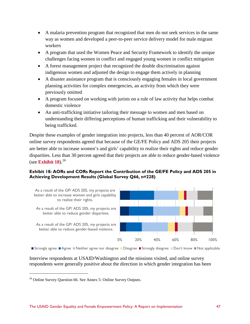- A malaria prevention program that recognized that men do not seek services in the same way as women and developed a peer-to-peer service delivery model for male migrant workers
- A program that used the Women Peace and Security Framework to identify the unique challenges facing women in conflict and engaged young women in conflict mitigation
- A forest management project that recognized the double discrimination against indigenous women and adjusted the design to engage them actively in planning
- A disaster assistance program that is consciously engaging females in local government planning activities for complex emergencies, an activity from which they were previously omitted
- A program focused on working with jurists on a rule of law activity that helps combat domestic violence
- An anti-trafficking initiative tailoring their message to women and men based on understanding their differing perceptions of human trafficking and their vulnerability to being trafficked.

Despite these examples of gender integration into projects, less than 40 percent of AOR/COR online survey respondents agreed that because of the GE/FE Policy and ADS 205 their projects are better able to increase women's and girls' capability to realize their rights and reduce gender disparities. Less than 30 percent agreed that their projects are able to reduce gender-based violence (see **Exhibit 18**).  $26$ 

### **Exhibit 18: AORs and CORs Report the Contribution of the GE/FE Policy and ADS 205 in Achieving Development Results (Global Survey Q66, n=228)**



■ Strongly agree ■ Agree ■ Neither agree nor disagree ■ Disagree ■ Strongly disagree ■ Don't know ■ Not applicable

Interview respondents at USAID/Washington and the missions visited, and online survey respondents were generally positive about the direction in which gender integration has been

 $\overline{a}$ 

<span id="page-52-0"></span><sup>26</sup> Online Survey Question 66. See Annex 5: Online Survey Outputs.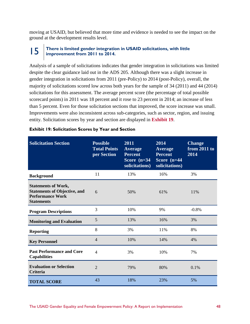moving at USAID, but believed that more time and evidence is needed to see the impact on the ground at the development results level.

### **15** There is limited gender integration in USAID solicitations, with little innovement from 2011 to 2014 **improvement from 2011 to 2014.**

Analysis of a sample of solicitations indicates that gender integration in solicitations was limited despite the clear guidance laid out in the ADS 205. Although there was a slight increase in gender integration in solicitations from 2011 (pre-Policy) to 2014 (post-Policy), overall, the majority of solicitations scored low across both years for the sample of 34 (2011) and 44 (2014) solicitations for this assessment. The average percent score (the percentage of total possible scorecard points) in 2011 was 18 percent and it rose to 23 percent in 2014; an increase of less than 5 percent. Even for those solicitation sections that improved, the score increase was small. Improvements were also inconsistent across sub-categories, such as sector, region, and issuing entity. Solicitation scores by year and section are displayed in **Exhibit 19**.

| <b>Solicitation Section</b>                                                                                       | <b>Possible</b><br><b>Total Points</b><br>per Section | 2011<br><b>Average</b><br><b>Percent</b><br>Score $(n=34)$<br>solicitations) | 2014<br><b>Average</b><br><b>Percent</b><br>Score (n=44<br>solicitations) | <b>Change</b><br>from 2011 to<br>2014 |
|-------------------------------------------------------------------------------------------------------------------|-------------------------------------------------------|------------------------------------------------------------------------------|---------------------------------------------------------------------------|---------------------------------------|
| <b>Background</b>                                                                                                 | 11                                                    | 13%                                                                          | 16%                                                                       | 3%                                    |
| <b>Statements of Work,</b><br><b>Statements of Objective, and</b><br><b>Performance Work</b><br><b>Statements</b> | 6                                                     | 50%                                                                          | 61%                                                                       | 11%                                   |
| <b>Program Descriptions</b>                                                                                       | 3                                                     | 10%                                                                          | 9%                                                                        | $-0.8%$                               |
| <b>Monitoring and Evaluation</b>                                                                                  | 5                                                     | 13%                                                                          | 16%                                                                       | 3%                                    |
| <b>Reporting</b>                                                                                                  | 8                                                     | 3%                                                                           | 11%                                                                       | 8%                                    |
| <b>Key Personnel</b>                                                                                              | $\overline{4}$                                        | 10%                                                                          | 14%                                                                       | 4%                                    |
| <b>Past Performance and Core</b><br><b>Capabilities</b>                                                           | $\overline{\mathcal{A}}$                              | 3%                                                                           | 10%                                                                       | 7%                                    |
| <b>Evaluation or Selection</b><br><b>Criteria</b>                                                                 | $\overline{2}$                                        | 79%                                                                          | 80%                                                                       | 0.1%                                  |
| <b>TOTAL SCORE</b>                                                                                                | 43                                                    | 18%                                                                          | 23%                                                                       | 5%                                    |

#### **Exhibit 19: Solicitation Scores by Year and Section**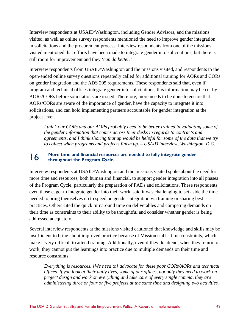Interview respondents at USAID/Washington, including Gender Advisors, and the missions visited, as well as online survey respondents mentioned the need to improve gender integration in solicitations and the procurement process. Interview respondents from one of the missions visited mentioned that efforts have been made to integrate gender into solicitations, but there is still room for improvement and they '*can do better*.'

Interview respondents from USAID/Washington and the missions visited, and respondents to the open-ended online survey questions repeatedly called for additional training for AORs and CORs on gender integration and the ADS 205 requirements. These respondents said that, even if program and technical offices integrate gender into solicitations, this information may be cut by AORs/CORs before solicitations are issued. Therefore, more needs to be done to ensure that AORs/CORs are aware of the importance of gender, have the capacity to integrate it into solicitations, and can hold implementing partners accountable for gender integration at the project level.

*I think our CORs and our AORs probably need to be better trained in validating some of the gender information that comes across their desks in regards to contracts and agreements, and I think shoring that up would be helpful for some of the data that we try to collect when programs and projects finish up. – USAID interview, Washington, D.C.* 

# **16 More time and financial resources are needed to fully integrate gender throughout the Program Cycle.**

Interview respondents at USAID/Washington and the missions visited spoke about the need for more time and resources, both human and financial, to support gender integration into all phases of the Program Cycle, particularly the preparation of PADs and solicitations. These respondents, even those eager to integrate gender into their work, said it was challenging to set aside the time needed to bring themselves up to speed on gender integration via training or sharing best practices. Others cited the quick turnaround time on deliverables and competing demands on their time as constraints to their ability to be thoughtful and consider whether gender is being addressed adequately.

Several interview respondents at the missions visited cautioned that knowledge and skills may be insufficient to bring about improved practice because of Mission staff's time constraints, which make it very difficult to attend training. Additionally, even if they do attend, when they return to work, they cannot put the learnings into practice due to multiple demands on their time and resource constraints.

*Everything is resources. [We need to] advocate for these poor CORs/AORs and technical offices. If you look at their daily lives, some of our offices, not only they need to work on project design and work on everything and take care of every single comma, they are administering three or four or five projects at the same time and designing two activities.*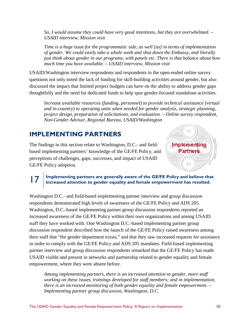*So, I would assume they could have very good intentions, but they are overwhelmed. – USAID interview, Mission visit*

*Time is a huge issue for the programmatic side, as well [as] in terms of implementation of gender. We could easily take a whole week and shut down the Embassy, and literally just think about gender in our programs, with panels etc. There is that balance about how much time you have available. – USAID interview, Mission visit*

USAID/Washington interview respondents and respondents to the open-ended online survey questions not only noted the lack of funding for skill-building activities around gender, but also discussed the impact that limited project budgets can have on the ability to address gender gaps thoughtfully and the need for dedicated funds to help spur gender-focused standalone activities.

*Increase available resources (funding, personnel) to provide technical assistance (virtual and in-country) to operating units when needed for gender analysis, strategic planning, project design, preparation of solicitations, and evaluation. – Online survey respondent, Non-Gender Advisor, Regional Bureau, USAID/Washington* 

n-

Implementing **Partners** 

03

# **IMPLEMENTING PARTNERS**

The findings in this section relate to Washington, D.C.- and fieldbased implementing partners' knowledge of the GE/FE Policy, and perceptions of challenges, gaps, successes, and impact of USAID GE/FE Policy adoption.

# 17 **Implementing partners are generally aware of the GE/FE Policy and believe that increased attention to gender equality and female empowerment has resulted.**

Washington D.C.- and field-based implementing partner interview and group discussion respondents demonstrated high levels of awareness of the GE/FE Policy and ADS 205. Washington, D.C.-based implementing partner group discussion respondents reported an increased awareness of the GE/FE Policy within their own organizations and among USAID staff they have worked with. One Washington D.C.-based implementing partner group discussion respondent described how the launch of the GE/FE Policy raised awareness among their staff that "the gender department exists," and that they saw increased requests for assistance in order to comply with the GE/FE Policy and ADS 205 mandates. Field-based implementing partner interview and group discussion respondents remarked that the GE/FE Policy has made USAID visible and present in networks and partnership related to gender equality and female empowerment, where they were absent before.

*Among implementing partners, there is an increased attention to gender, more staff working on these issues, trainings developed for staff members; and in implementation, there is an increased monitoring of both gender equality and female empowerment. – Implementing partner group discussion, Washington, D.C.*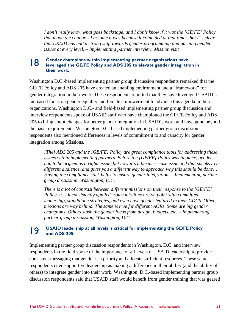*I don't really know what goes backstage, and I don't know if it was the [GE/FE] Policy that made the change—I assume it was because it coincided at that time—but it's clear that USAID has had a strong shift towards gender programming and pushing gender issues at every level. – Implementing partner interview, Mission visit* 

# **lexamplementing partner organizations have** leveraged the GE/FE Policy and ADS 205 to elevate gender integration in **their work.**

Washington D.C.-based implementing partner group discussion respondents remarked that the GE/FE Policy and ADS 205 have created an enabling environment and a "framework" for gender integration in their work. These respondents reported that they have leveraged USAID's increased focus on gender equality and female empowerment to advance this agenda in their organizations. Washington D.C.- and field-based implementing partner group discussion and interview respondents spoke of USAID staff who have championed the GE/FE Policy and ADS 205 to bring about changes for better gender integration in USAID's work and have gone beyond the basic requirements. Washington D.C.-based implementing partner group discussion respondents also mentioned differences in levels of commitment to and capacity for gender integration among Missions.

*[The] ADS 205 and the [GE/FE] Policy are great compliance tools for addressing these issues within implementing partners. Before the [GE/FE] Policy was in place, gender had to be argued as a rights issue, but now it's a business case issue and that speaks to a different audience, and gives you a different way to approach why this should be done… Having the compliance stick helps to ensure gender integration. – Implementing partner group discussion, Washington, D.C.* 

*There is a lot of contrast between different missions on their response to the [GE/FE] Policy. It is inconsistently applied. Some missions are on point with committed leadership, standalone strategies, and even have gender featured in their CDCS. Other missions are way behind. The same is true for different AORs. Some are big gender champions. Others slash the gender focus from design, budgets, etc. – Implementing partner group discussion, Washington, D.C.* 

### 19 **USAID leadership at all levels is critical for implementing the GE/FE Policy and ADS 205.**

Implementing partner group discussion respondents in Washington, D.C. and interview respondents in the field spoke of the importance of all levels of USAID leadership to provide consistent messaging that gender is a priority and allocate sufficient resources. These same respondents cited supportive leadership as making a difference in their ability (and the ability of others) to integrate gender into their work. Washington, D.C.-based implementing partner group discussion respondents said that USAID staff would benefit from gender training that was geared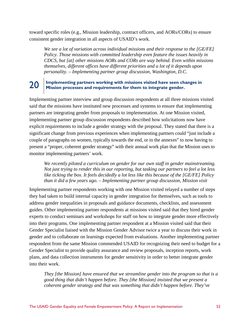toward specific roles (e.g., Mission leadership, contract officers, and AORs/CORs) to ensure consistent gender integration in all aspects of USAID's work.

*We see a lot of variation across individual missions and their response to the [GE/FE] Policy. Those missions with committed leadership even feature the issues heavily in CDCS, but [at] other missions AORs and CORs are way behind. Even within missions themselves, different offices have different priorities and a lot of it depends upon personality. – Implementing partner group discussion, Washington, D.C.* 

# 20 **Implementing partners working with missions visited have seen changes in Mission processes and requirements for them to integrate gender.**

Implementing partner interview and group discussion respondents at all three missions visited said that the missions have instituted new processes and systems to ensure that implementing partners are integrating gender from proposals to implementation. At one Mission visited, implementing partner group discussion respondents described how solicitations now have explicit requirements to include a gender strategy with the proposal. They stated that there is a significant change from previous experiences when implementing partners could "just include a couple of paragraphs on women, typically towards the end, or in the annexes" to now having to present a "proper, coherent gender strategy" with their annual work plan that the Mission uses to monitor implementing partners' work.

*We recently piloted a curriculum on gender for our own staff in gender mainstreaming. Not just trying to render this in our reporting, but tasking our partners to feel a lot less like ticking the box. It feels decidedly a lot less like this because of the [GE/FE] Policy than it did a few years ago. – Implementing partner group discussion, Mission visit* 

Implementing partner respondents working with one Mission visited relayed a number of steps they had taken to build internal capacity in gender integration for themselves, such as tools to address gender inequalities in proposals and guidance documents, checklists, and assessment guides. Other implementing partner respondents at missions visited said that they hired gender experts to conduct seminars and workshops for staff on how to integrate gender more effectively into their programs. One implementing partner respondent at a Mission visited said that their Gender Specialist liaised with the Mission Gender Advisor twice a year to discuss their work in gender and to collaborate on learnings expected from evaluations. Another implementing partner respondent from the same Mission commended USAID for recognizing their need to budget for a Gender Specialist to provide quality assurance and review proposals, inception reports, work plans, and data collection instruments for gender sensitivity in order to better integrate gender into their work.

*They [the Mission] have ensured that we streamline gender into the program so that is a good thing that didn't happen before. They [the Mission] insisted that we present a coherent gender strategy and that was something that didn't happen before. They've*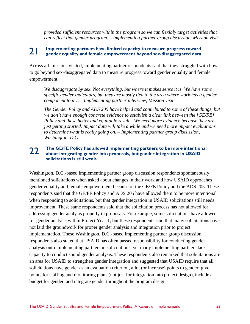*provided sufficient resources within the program so we can flexibly target activities that can reflect that gender program. – Implementing partner group discussion, Mission visit*

# 21 **Implementing partners have limited capacity to measure progress toward gender equality and female empowerment beyond sex-disaggregated data.**

Across all missions visited, implementing partner respondents said that they struggled with how to go beyond sex-disaggregated data to measure progress toward gender equality and female empowerment.

*We disaggregate by sex. Not everything, but where it makes sense it is. We have some specific gender indicators, but they are mostly tied to the area where work has a gender component to it… – Implementing partner interview, Mission visit*

*The Gender Policy and ADS 205 have helped and contributed to some of these things, but we don't have enough concrete evidence to establish a clear link between the [GE/FE] Policy and these better and equitable results. We need more evidence because they are just getting started. Impact data will take a while and we need more impact evaluations to determine what is really going on. – Implementing partner group discussion, Washington, D.C.* 

# 22 **The GE/FE Policy has allowed implementing partners to be more intentional about integrating gender into proposals, but gender integration in USAID solicitations is still weak.**

Washington, D.C.-based implementing partner group discussion respondents spontaneously mentioned solicitations when asked about changes in their work and how USAID approaches gender equality and female empowerment because of the GE/FE Policy and the ADS 205. These respondents said that the GE/FE Policy and ADS 205 have allowed them to be more intentional when responding to solicitations, but that gender integration in USAID solicitations still needs improvement. These same respondents said that the solicitation process has not allowed for addressing gender analysis properly in proposals. For example, some solicitations have allowed for gender analysis within Project Year 1, but these respondents said that many solicitations have not laid the groundwork for proper gender analysis and integration prior to project implementation. These Washington, D.C.-based implementing partner group discussion respondents also stated that USAID has often passed responsibility for conducting gender analysis onto implementing partners in solicitations, yet many implementing partners lack capacity to conduct sound gender analysis. These respondents also remarked that solicitations are an area for USAID to strengthen gender integration and suggested that USAID require that all solicitations have gender as an evaluation criterion, allot (or increase) points to gender, give points for staffing and monitoring plans (not just for integration into project design), include a budget for gender, and integrate gender throughout the program design.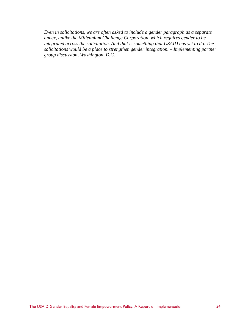*Even in solicitations, we are often asked to include a gender paragraph as a separate annex, unlike the Millennium Challenge Corporation, which requires gender to be integrated across the solicitation. And that is something that USAID has yet to do. The solicitations would be a place to strengthen gender integration. – Implementing partner group discussion, Washington, D.C.*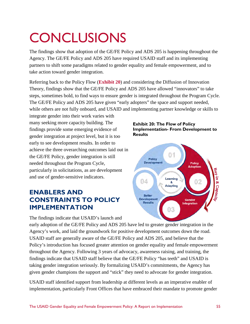# **CONCLUSIONS**

The findings show that adoption of the GE/FE Policy and ADS 205 is happening throughout the Agency. The GE/FE Policy and ADS 205 have required USAID staff and its implementing partners to shift some paradigms related to gender equality and female empowerment, and to take action toward gender integration.

Referring back to the Policy Flow (**Exhibit 20**) and considering the Diffusion of Innovation Theory, findings show that the GE/FE Policy and ADS 205 have allowed "innovators" to take steps, sometimes bold, to find ways to ensure gender is integrated throughout the Program Cycle. The GE/FE Policy and ADS 205 have given "early adopters" the space and support needed, while others are not fully onboard, and USAID and implementing partner knowledge or skills to

integrate gender into their work varies with many seeking more capacity building. The findings provide some emerging evidence of gender integration at project level, but it is too early to see development results. In order to achieve the three overarching outcomes laid out in the GE/FE Policy, gender integration is still needed throughout the Program Cycle, particularly in solicitations, as are development and use of gender-sensitive indicators.

# **ENABLERS AND CONSTRAINTS TO POLICY IMPLEMENTATION**

The findings indicate that USAID's launch and





early adoption of the GE/FE Policy and ADS 205 have led to greater gender integration in the Agency's work, and laid the groundwork for positive development outcomes down the road. USAID staff are generally aware of the GE/FE Policy and ADS 205, and believe that the Policy's introduction has focused greater attention on gender equality and female empowerment throughout the Agency. Following 3 years of advocacy, awareness raising, and training, the findings indicate that USAID staff believe that the GE/FE Policy "has teeth" and USAID is taking gender integration seriously. By formalizing USAID's commitments, the Agency has given gender champions the support and "stick" they need to advocate for gender integration.

USAID staff identified support from leadership at different levels as an imperative enabler of implementation, particularly Front Offices that have embraced their mandate to promote gender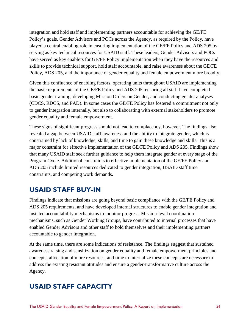integration and hold staff and implementing partners accountable for achieving the GE/FE Policy's goals. Gender Advisors and POCs across the Agency, as required by the Policy, have played a central enabling role in ensuring implementation of the GE/FE Policy and ADS 205 by serving as key technical resources for USAID staff. These leaders, Gender Advisors and POCs have served as key enablers for GE/FE Policy implementation when they have the resources and skills to provide technical support, hold staff accountable, and raise awareness about the GE/FE Policy, ADS 205, and the importance of gender equality and female empowerment more broadly.

Given this confluence of enabling factors, operating units throughout USAID are implementing the basic requirements of the GE/FE Policy and ADS 205: ensuring all staff have completed basic gender training, developing Mission Orders on Gender, and conducting gender analyses (CDCS, RDCS, and PAD). In some cases the GE/FE Policy has fostered a commitment not only to gender integration internally, but also to collaborating with external stakeholders to promote gender equality and female empowerment.

These signs of significant progress should not lead to complacency, however. The findings also revealed a gap between USAID staff awareness and the ability to integrate gender, which is constrained by lack of knowledge, skills, and time to gain these knowledge and skills. This is a major constraint for effective implementation of the GE/FE Policy and ADS 205. Findings show that many USAID staff seek further guidance to help them integrate gender at every stage of the Program Cycle. Additional constraints to effective implementation of the GE/FE Policy and ADS 205 include limited resources dedicated to gender integration, USAID staff time constraints, and competing work demands.

# **USAID STAFF BUY-IN**

Findings indicate that missions are going beyond basic compliance with the GE/FE Policy and ADS 205 requirements, and have developed internal structures to enable gender integration and instated accountability mechanisms to monitor progress. Mission-level coordination mechanisms, such as Gender Working Groups, have contributed to internal processes that have enabled Gender Advisors and other staff to hold themselves and their implementing partners accountable to gender integration.

At the same time, there are some indications of resistance. The findings suggest that sustained awareness raising and sensitization on gender equality and female empowerment principles and concepts, allocation of more resources, and time to internalize these concepts are necessary to address the existing resistant attitudes and ensure a gender-transformative culture across the Agency.

# **USAID STAFF CAPACITY**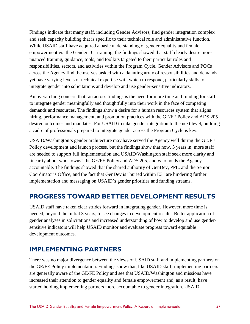Findings indicate that many staff, including Gender Advisors, find gender integration complex and seek capacity building that is specific to their technical role and administrative function. While USAID staff have acquired a basic understanding of gender equality and female empowerment via the Gender 101 training, the findings showed that staff clearly desire more nuanced training, guidance, tools, and toolkits targeted to their particular roles and responsibilities, sectors, and activities within the Program Cycle. Gender Advisors and POCs across the Agency find themselves tasked with a daunting array of responsibilities and demands, yet have varying levels of technical expertise with which to respond, particularly skills to integrate gender into solicitations and develop and use gender-sensitive indicators.

An overarching concern that ran across findings is the need for more time and funding for staff to integrate gender meaningfully and thoughtfully into their work in the face of competing demands and resources. The findings show a desire for a human resources system that aligns hiring, performance management, and promotion practices with the GE/FE Policy and ADS 205 desired outcomes and mandates. For USAID to take gender integration to the next level, building a cadre of professionals prepared to integrate gender across the Program Cycle is key.

USAID/Washington's gender architecture may have served the Agency well during the GE/FE Policy development and launch process, but the findings show that now, 3 years in, more staff are needed to support full implementation and USAID/Washington staff seek more clarity and linearity about who "owns" the GE/FE Policy and ADS 205, and who holds the Agency accountable. The findings showed that the shared authority of GenDev, PPL, and the Senior Coordinator's Office, and the fact that GenDev is "buried within E3" are hindering further implementation and messaging on USAID's gender priorities and funding streams.

# **PROGRESS TOWARD BETTER DEVELOPMENT RESULTS**

USAID staff have taken clear strides forward in integrating gender. However, more time is needed, beyond the initial 3 years, to see changes in development results. Better application of gender analyses in solicitations and increased understanding of how to develop and use gendersensitive indicators will help USAID monitor and evaluate progress toward equitable development outcomes.

# **IMPLEMENTING PARTNERS**

There was no major divergence between the views of USAID staff and implementing partners on the GE/FE Policy implementation. Findings show that, like USAID staff, implementing partners are generally aware of the GE/FE Policy and see that USAID/Washington and missions have increased their attention to gender equality and female empowerment and, as a result, have started holding implementing partners more accountable to gender integration. USAID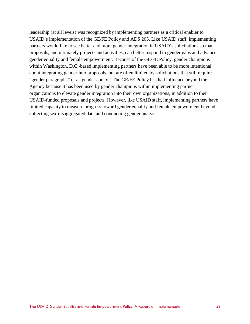leadership (at all levels) was recognized by implementing partners as a critical enabler to USAID's implementation of the GE/FE Policy and ADS 205. Like USAID staff, implementing partners would like to see better and more gender integration in USAID's solicitations so that proposals, and ultimately projects and activities, can better respond to gender gaps and advance gender equality and female empowerment. Because of the GE/FE Policy, gender champions within Washington, D.C.-based implementing partners have been able to be more intentional about integrating gender into proposals, but are often limited by solicitations that still require "gender paragraphs" or a "gender annex." The GE/FE Policy has had influence beyond the Agency because it has been used by gender champions within implementing partner organizations to elevate gender integration into their own organizations, in addition to their USAID-funded proposals and projects. However, like USAID staff, implementing partners have limited capacity to measure progress toward gender equality and female empowerment beyond collecting sex-disaggregated data and conducting gender analysis.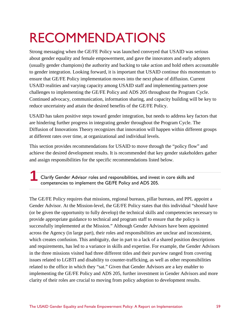# RECOMMENDATIONS

Strong messaging when the GE/FE Policy was launched conveyed that USAID was serious about gender equality and female empowerment, and gave the innovators and early adopters (usually gender champions) the authority and backing to take action and hold others accountable to gender integration. Looking forward, it is important that USAID continue this momentum to ensure that GE/FE Policy implementation moves into the next phase of diffusion. Current USAID realities and varying capacity among USAID staff and implementing partners pose challenges to implementing the GE/FE Policy and ADS 205 throughout the Program Cycle. Continued advocacy, communication, information sharing, and capacity building will be key to reduce uncertainty and attain the desired benefits of the GE/FE Policy.

USAID has taken positive steps toward gender integration, but needs to address key factors that are hindering further progress in integrating gender throughout the Program Cycle. The Diffusion of Innovations Theory recognizes that innovation will happen within different groups at different rates over time, at organizational and individual levels.

This section provides recommendations for USAID to move through the "policy flow" and achieve the desired development results. It is recommended that key gender stakeholders gather and assign responsibilities for the specific recommendations listed below.

**Exercise 2 Clarify Gender Advisor roles and responsibilities, and invest in core skills and competencies to implement the GE/FE Policy and ADS 205.** competencies to implement the GE/FE Policy and ADS 205.

The GE/FE Policy requires that missions, regional bureaus, pillar bureaus, and PPL appoint a Gender Advisor. At the Mission-level, the GE/FE Policy states that this individual "should have (or be given the opportunity to fully develop) the technical skills and competencies necessary to provide appropriate guidance to technical and program staff to ensure that the policy is successfully implemented at the Mission." Although Gender Advisors have been appointed across the Agency (in large part), their roles and responsibilities are unclear and inconsistent, which creates confusion. This ambiguity, due in part to a lack of a shared position descriptions and requirements, has led to a variance in skills and expertise. For example, the Gender Advisors in the three missions visited had three different titles and their purview ranged from covering issues related to LGBTI and disability to counter-trafficking, as well as other responsibilities related to the office in which they "sat." Given that Gender Advisors are a key enabler to implementing the GE/FE Policy and ADS 205, further investment in Gender Advisors and more clarity of their roles are crucial to moving from policy adoption to development results.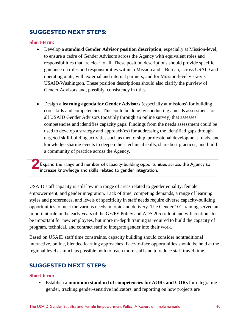# **SUGGESTED NEXT STEPS:**

#### **Short-term:**

- Develop a **standard Gender Advisor position description**, especially at Mission-level, to ensure a cadre of Gender Advisors across the Agency with equivalent roles and responsibilities that are clear to all. These position descriptions should provide specific guidance on roles and responsibilities within a Mission and a Bureau, across USAID and operating units, with external and internal partners, and for Mission-level vis-à-vis USAID/Washington. These position descriptions should also clarify the purview of Gender Advisors and, possibly, consistency in titles.
- Design a **learning agenda for Gender Advisors** (especially at missions) for building core skills and competencies. This could be done by conducting a needs assessment for all USAID Gender Advisors (possibly through an online survey) that assesses competencies and identifies capacity gaps. Findings from the needs assessment could be used to develop a strategy and approach(es) for addressing the identified gaps through targeted skill-building activities such as mentorship, professional development funds, and knowledge sharing events to deepen their technical skills, share best practices, and build a community of practice across the Agency.

**Expand the range and number of capacity-building opportunities across the Agency to 2016**<br>**2** increase knowledge and skills related to gender integration.

USAID staff capacity is still low in a range of areas related to gender equality, female empowerment, and gender integration. Lack of time, competing demands, a range of learning styles and preferences, and levels of specificity in staff needs require diverse capacity-building opportunities to meet the various needs in topic and delivery. The Gender 101 training served an important role in the early years of the GE/FE Policy and ADS 205 rollout and will continue to be important for new employees, but more in-depth training is required to build the capacity of program, technical, and contract staff to integrate gender into their work.

Based on USAID staff time constraints, capacity building should consider nontraditional interactive, online, blended learning approaches. Face-to-face opportunities should be held at the regional level as much as possible both to reach more staff and to reduce staff travel time.

# **SUGGESTED NEXT STEPS:**

#### **Short-term:**

• Establish a **minimum standard of competencies for AORs and CORs** for integrating gender, tracking gender-sensitive indicators, and reporting on how projects are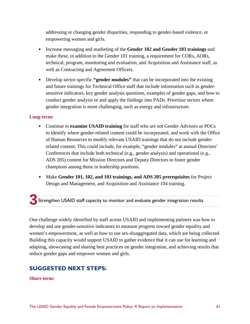addressing or changing gender disparities, responding to gender-based violence, or empowering women and girls.

- Increase messaging and marketing of the **Gender 102 and Gender 103 trainings** and make these, in addition to the Gender 101 training, a requirement for CORs, AORs, technical, program, monitoring and evaluation, and Acquisition and Assistance staff, as well as Contracting and Agreement Officers.
- Develop sector-specific **"gender modules"** that can be incorporated into the existing and future trainings for Technical Office staff that include information such as gendersensitive indicators, key gender analysis questions, examples of gender gaps, and how to conduct gender analysis or and apply the findings into PADs. Prioritize sectors where gender integration is more challenging, such as energy and infrastructure.

#### **Long-term:**

- Continue to **examine USAID training** for staff who are not Gender Advisors or POCs to identify where gender-related content could be incorporated, and work with the Office of Human Resources to modify relevant USAID trainings that do not include genderrelated content. This could include, for example, "gender modules" at annual Directors' Conferences that include both technical (e.g., gender analysis) and operational (e.g., ADS 205) content for Mission Directors and Deputy Directors to foster gender champions among those in leadership positions.
- Make **Gender 101, 102, and 103 trainings, and ADS 205 prerequisites** for Project Design and Management, and Acquisition and Assistance 104 training.

**3** Strengthen USAID staff capacity to monitor and evaluate gender integration results.

One challenge widely identified by staff across USAID and implementing partners was how to develop and use gender-sensitive indicators to measure progress toward gender equality and women's empowerment, as well as how to use sex-disaggregated data, which are being collected. Building this capacity would support USAID to gather evidence that it can use for learning and adapting, showcasing and sharing best practices on gender integration, and achieving results that reduce gender gaps and empower women and girls.

# **SUGGESTED NEXT STEPS:**

#### **Short-term:**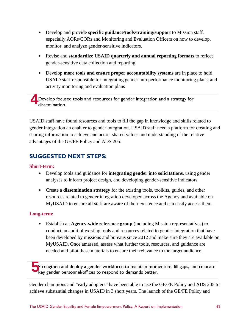- Develop and provide **specific guidance/tools/training/support** to Mission staff, especially AORs/CORs and Monitoring and Evaluation Officers on how to develop, monitor, and analyze gender-sensitive indicators.
- Revise and **standardize USAID quarterly and annual reporting formats** to reflect gender-sensitive data collection and reporting.
- Develop **more tools and ensure proper accountability systems** are in place to hold USAID staff responsible for integrating gender into performance monitoring plans, and activity monitoring and evaluation plans

**4** Develop focused tools and resources for gender integration and a strategy for dissemination.

USAID staff have found resources and tools to fill the gap in knowledge and skills related to gender integration an enabler to gender integration. USAID staff need a platform for creating and sharing information to achieve and act on shared values and understanding of the relative advantages of the GE/FE Policy and ADS 205.

# **SUGGESTED NEXT STEPS:**

### **Short-term:**

- Develop tools and guidance for **integrating gender into solicitations**, using gender analyses to inform project design, and developing gender-sensitive indicators.
- Create a **dissemination strategy** for the existing tools, toolkits, guides, and other resources related to gender integration developed across the Agency and available on MyUSAID to ensure all staff are aware of their existence and can easily access them.

### **Long-term:**

• Establish an **Agency-wide reference group** (including Mission representatives) to conduct an audit of existing tools and resources related to gender integration that have been developed by missions and bureaus since 2012 and make sure they are available on MyUSAID. Once amassed, assess what further tools, resources, and guidance are needed and pilot these materials to ensure their relevance to the target audience.

Strengthen and deploy a gender workforce to maintain momentum, fill gaps, and relocate key gender personnel/offices to respond to demands better.

Gender champions and "early adopters" have been able to use the GE/FE Policy and ADS 205 to achieve substantial changes in USAID in 3 short years. The launch of the GE/FE Policy and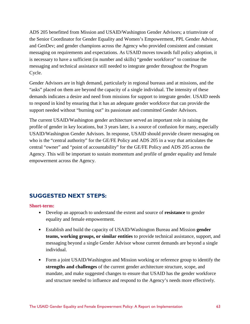ADS 205 benefitted from Mission and USAID/Washington Gender Advisors; a triumvirate of the Senior Coordinator for Gender Equality and Women's Empowerment, PPL Gender Advisor, and GenDev; and gender champions across the Agency who provided consistent and constant messaging on requirements and expectations. As USAID moves towards full policy adoption, it is necessary to have a sufficient (in number and skills) "gender workforce" to continue the messaging and technical assistance still needed to integrate gender throughout the Program Cycle.

Gender Advisors are in high demand, particularly in regional bureaus and at missions, and the "asks" placed on them are beyond the capacity of a single individual. The intensity of these demands indicates a desire and need from missions for support to integrate gender. USAID needs to respond in kind by ensuring that it has an adequate gender workforce that can provide the support needed without "burning out" its passionate and committed Gender Advisors.

The current USAID/Washington gender architecture served an important role in raising the profile of gender in key locations, but 3 years later, is a source of confusion for many, especially USAID/Washington Gender Advisors. In response, USAID should provide clearer messaging on who is the "central authority" for the GE/FE Policy and ADS 205 in a way that articulates the central "owner" and "point of accountability" for the GE/FE Policy and ADS 205 across the Agency. This will be important to sustain momentum and profile of gender equality and female empowerment across the Agency.

# **SUGGESTED NEXT STEPS:**

#### **Short-term:**

- Develop an approach to understand the extent and source of **resistance** to gender equality and female empowerment.
- Establish and build the capacity of USAID/Washington Bureau and Mission **gender teams, working groups, or similar entities** to provide technical assistance, support, and messaging beyond a single Gender Advisor whose current demands are beyond a single individual.
- Form a joint USAID/Washington and Mission working or reference group to identify the **strengths and challenges** of the current gender architecture structure, scope, and mandate, and make suggested changes to ensure that USAID has the gender workforce and structure needed to influence and respond to the Agency's needs more effectively.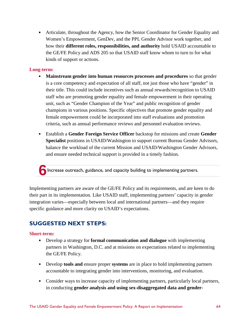• Articulate, throughout the Agency, how the Senior Coordinator for Gender Equality and Women's Empowerment, GenDev, and the PPL Gender Advisor work together, and how their **different roles, responsibilities, and authority** hold USAID accountable to the GE/FE Policy and ADS 205 so that USAID staff know whom to turn to for what kinds of support or actions.

#### **Long-term:**

- **Mainstream gender into human resources processes and procedures** so that gender is a core competency and expectation of all staff, not just those who have "gender" in their title. This could include incentives such as annual rewards/recognition to USAID staff who are promoting gender equality and female empowerment in their operating unit, such as "Gender Champion of the Year" and public recognition of gender champions in various positions. Specific objectives that promote gender equality and female empowerment could be incorporated into staff evaluations and promotion criteria, such as annual performance reviews and personnel evaluation reviews.
- Establish a **Gender Foreign Service Officer** backstop for missions and create **Gender Specialist** positions in USAID/Washington to support current Bureau Gender Advisors, balance the workload of the current Mission and USAID/Washington Gender Advisors, and ensure needed technical support is provided in a timely fashion.

**6**Increase outreach, guidance, and capacity building to implementing partners.

Implementing partners are aware of the GE/FE Policy and its requirements, and are keen to do their part in its implementation. Like USAID staff, implementing partners' capacity in gender integration varies—especially between local and international partners—and they require specific guidance and more clarity on USAID's expectations.

# **SUGGESTED NEXT STEPS:**

#### **Short-term:**

- Develop a strategy for **formal communication and dialogue** with implementing partners in Washington, D.C. and at missions on expectations related to implementing the GE/FE Policy.
- Develop **tools and** ensure proper **systems** are in place to hold implementing partners accountable to integrating gender into interventions, monitoring, and evaluation.
- Consider ways to increase capacity of implementing partners, particularly local partners, in conducting **gender analysis and using sex-disaggregated data and gender-**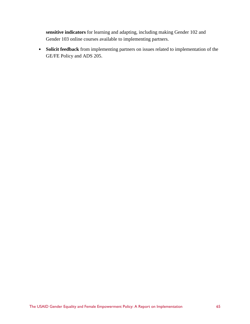**sensitive indicators** for learning and adapting, including making Gender 102 and Gender 103 online courses available to implementing partners.

• **Solicit feedback** from implementing partners on issues related to implementation of the GE/FE Policy and ADS 205.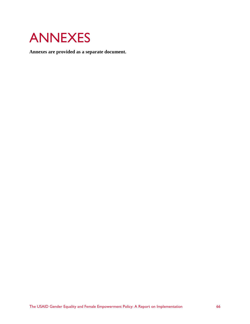

**Annexes are provided as a separate document.**